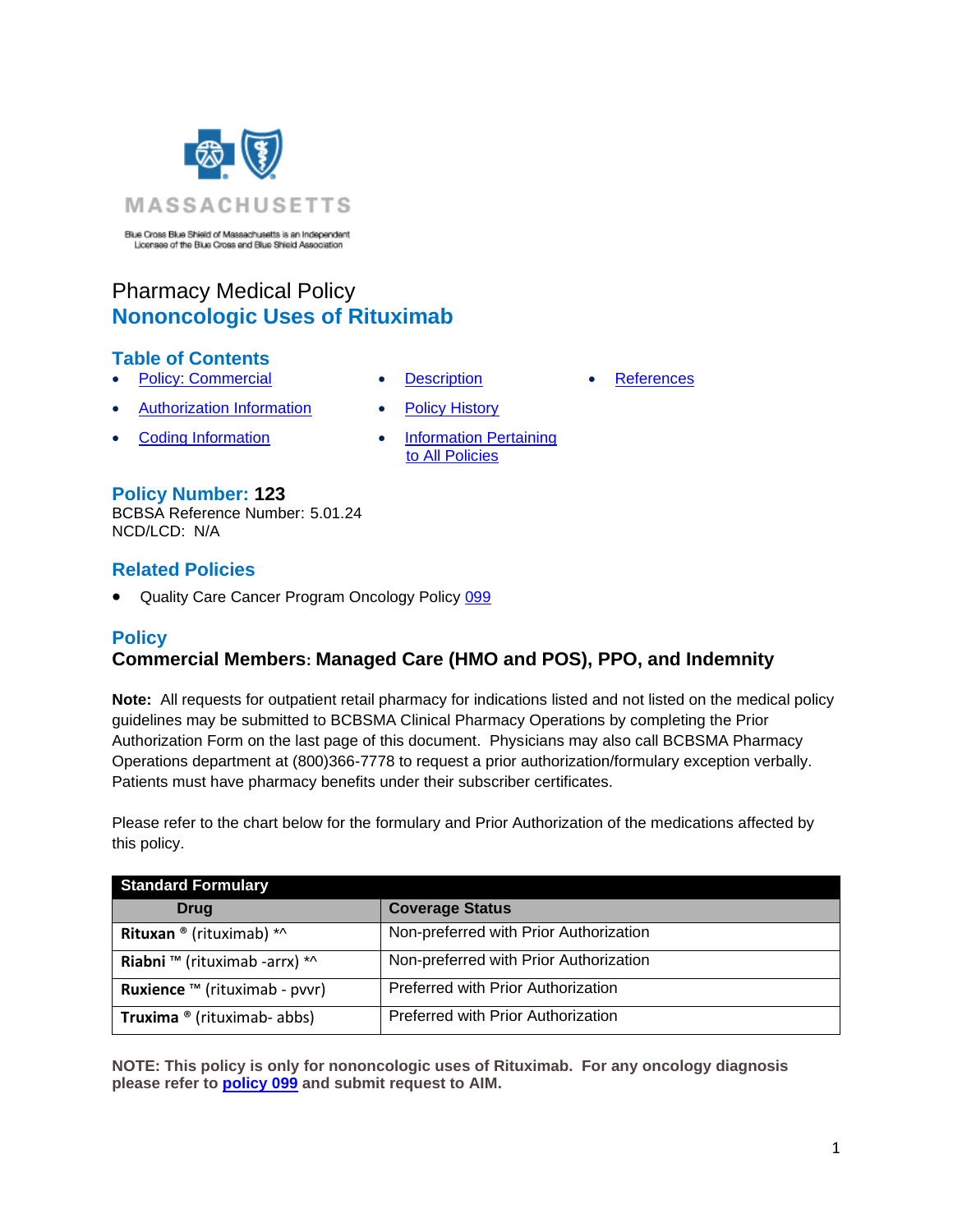

Blue Cross Blue Shield of Massachusetts is an Independent<br>Licensee of the Blue Cross and Blue Shield Association

# Pharmacy Medical Policy **Nononcologic Uses of Rituximab**

### **Table of Contents**

- **[Policy: Commercial](#page-0-0) [Description](#page-2-0) [References](#page-6-0)**
- **[Authorization Information](#page-2-1) [Policy History](#page-6-1)**
- **[Coding Information](#page-2-2) Information Information Pertaining**
- 
- 
- 
- [to All Policies](#page-6-2)

### **Policy Number: 123**

BCBSA Reference Number: 5.01.24 NCD/LCD: N/A

### **Related Policies**

<span id="page-0-0"></span>Quality Care Cancer Program Oncology Policy [099](file://///bos0105fap02/Public/MED_AFF/PUBLIC/MEDICAL%20POLICY%20TEAM/POLICIES/PHARMACY%20MEDICAL%20POLICY/B.%09https:/www.bluecrossma.org/medical-policies/sites/g/files/csphws2091/files/acquiadam-assets/099%20AIM%20Oncology%20Medication%20Management%20Program.pdf)

### **Policy**

# **Commercial Members: Managed Care (HMO and POS), PPO, and Indemnity**

**Note:** All requests for outpatient retail pharmacy for indications listed and not listed on the medical policy guidelines may be submitted to BCBSMA Clinical Pharmacy Operations by completing the Prior Authorization Form on the last page of this document. Physicians may also call BCBSMA Pharmacy Operations department at (800)366-7778 to request a prior authorization/formulary exception verbally. Patients must have pharmacy benefits under their subscriber certificates.

Please refer to the chart below for the formulary and Prior Authorization of the medications affected by this policy.

| <b>Standard Formulary</b>            |                                        |  |
|--------------------------------------|----------------------------------------|--|
| Drug                                 | <b>Coverage Status</b>                 |  |
| Rituxan ® (rituximab) *^             | Non-preferred with Prior Authorization |  |
| Riabni ™ (rituximab -arrx) *^        | Non-preferred with Prior Authorization |  |
| <b>Ruxience</b> ™ (rituximab - pvvr) | Preferred with Prior Authorization     |  |
| <b>Truxima</b> ® (rituximab- abbs)   | Preferred with Prior Authorization     |  |

**NOTE: This policy is only for nononcologic uses of Rituximab. For any oncology diagnosis please refer to [policy 099](file://///bos0105fap02/Public/MED_AFF/PUBLIC/MEDICAL%20POLICY%20TEAM/POLICIES/PHARMACY%20MEDICAL%20POLICY/B.%09https:/www.bluecrossma.org/medical-policies/sites/g/files/csphws2091/files/acquiadam-assets/099%20AIM%20Oncology%20Medication%20Management%20Program.pdf) and submit request to AIM.**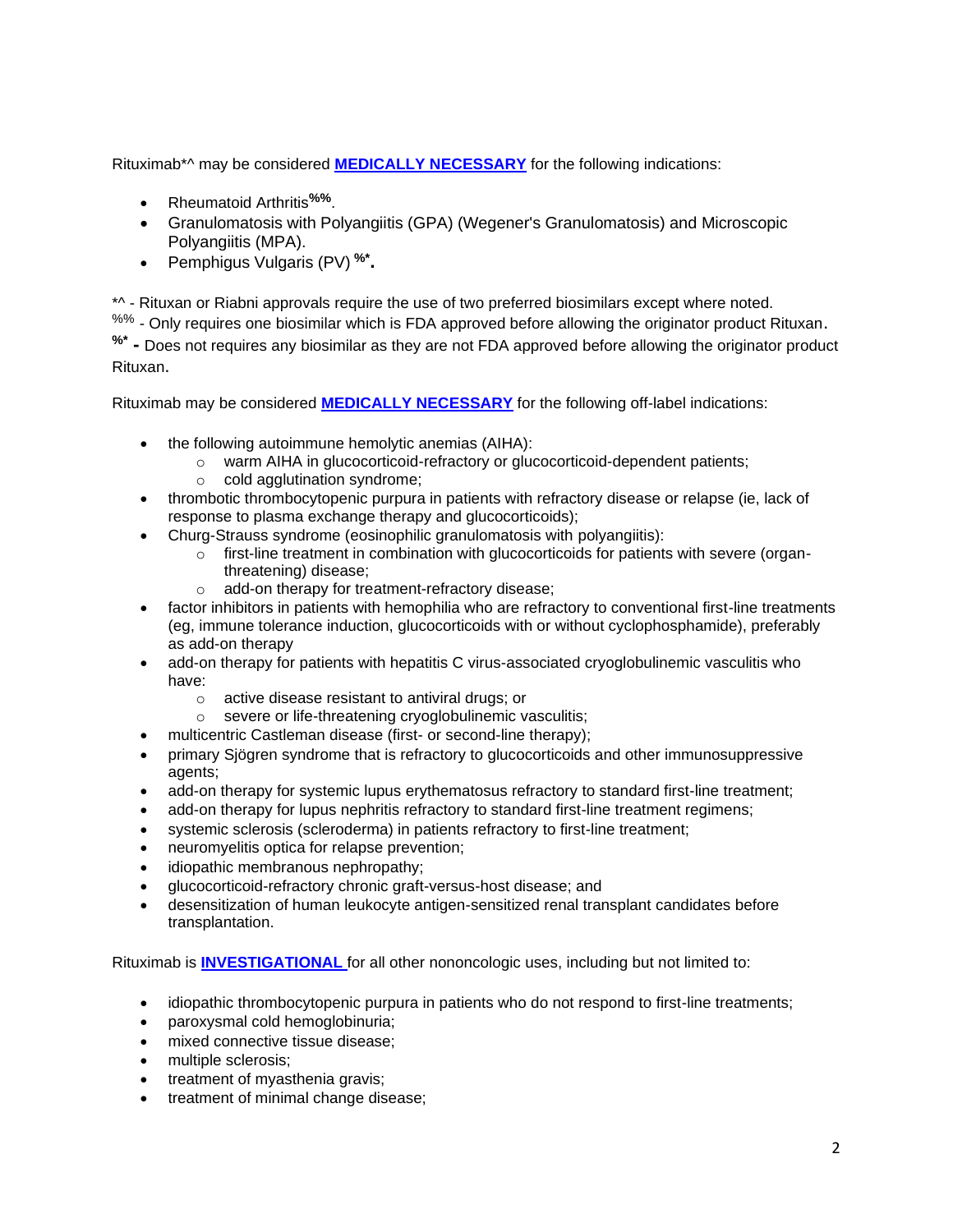Rituximab\*^ may be considered **[MEDICALLY NECESSARY](https://www.bluecrossma.org/medical-policies/sites/g/files/csphws2091/files/acquiadam-assets/Definition%20of%20Med%20Nec%20Inv%20Not%20Med%20Nec%20prn.pdf#page=1)** for the following indications:

- Rheumatoid Arthritis**%%**.
- Granulomatosis with Polyangiitis (GPA) (Wegener's Granulomatosis) and Microscopic Polyangiitis (MPA).
- Pemphigus Vulgaris (PV) **%\* .**

\*^ - Rituxan or Riabni approvals require the use of two preferred biosimilars except where noted. %% - Only requires one biosimilar which is FDA approved before allowing the originator product Rituxan. **%\* -** Does not requires any biosimilar as they are not FDA approved before allowing the originator product Rituxan.

Rituximab may be considered **[MEDICALLY NECESSARY](https://www.bluecrossma.org/medical-policies/sites/g/files/csphws2091/files/acquiadam-assets/Definition%20of%20Med%20Nec%20Inv%20Not%20Med%20Nec%20prn.pdf#page=1)** for the following off-label indications:

- the following autoimmune hemolytic anemias (AIHA):
	- o warm AIHA in glucocorticoid-refractory or glucocorticoid-dependent patients;
	- o cold agglutination syndrome;
- thrombotic thrombocytopenic purpura in patients with refractory disease or relapse (ie, lack of response to plasma exchange therapy and glucocorticoids);
- Churg-Strauss syndrome (eosinophilic granulomatosis with polyangiitis):
	- $\circ$  first-line treatment in combination with glucocorticoids for patients with severe (organthreatening) disease;
		- o add-on therapy for treatment-refractory disease;
- factor inhibitors in patients with hemophilia who are refractory to conventional first-line treatments (eg, immune tolerance induction, glucocorticoids with or without cyclophosphamide), preferably as add-on therapy
- add-on therapy for patients with hepatitis C virus-associated cryoglobulinemic vasculitis who have:
	- o active disease resistant to antiviral drugs; or
	- o severe or life-threatening cryoglobulinemic vasculitis;
- multicentric Castleman disease (first- or second-line therapy);
- primary Sjögren syndrome that is refractory to glucocorticoids and other immunosuppressive agents;
- add-on therapy for systemic lupus erythematosus refractory to standard first-line treatment;
- add-on therapy for lupus nephritis refractory to standard first-line treatment regimens;
- systemic sclerosis (scleroderma) in patients refractory to first-line treatment;
- neuromyelitis optica for relapse prevention;
- idiopathic membranous nephropathy;
- glucocorticoid-refractory chronic graft-versus-host disease; and
- desensitization of human leukocyte antigen-sensitized renal transplant candidates before transplantation.

Rituximab is **[INVESTIGATIONAL](https://www.bluecrossma.org/medical-policies/sites/g/files/csphws2091/files/acquiadam-assets/Definition%20of%20Med%20Nec%20Inv%20Not%20Med%20Nec%20prn.pdf#page=1)** for all other nononcologic uses, including but not limited to:

- idiopathic thrombocytopenic purpura in patients who do not respond to first-line treatments;
- paroxysmal cold hemoglobinuria;
- mixed connective tissue disease;
- multiple sclerosis;
- treatment of myasthenia gravis;
- treatment of minimal change disease;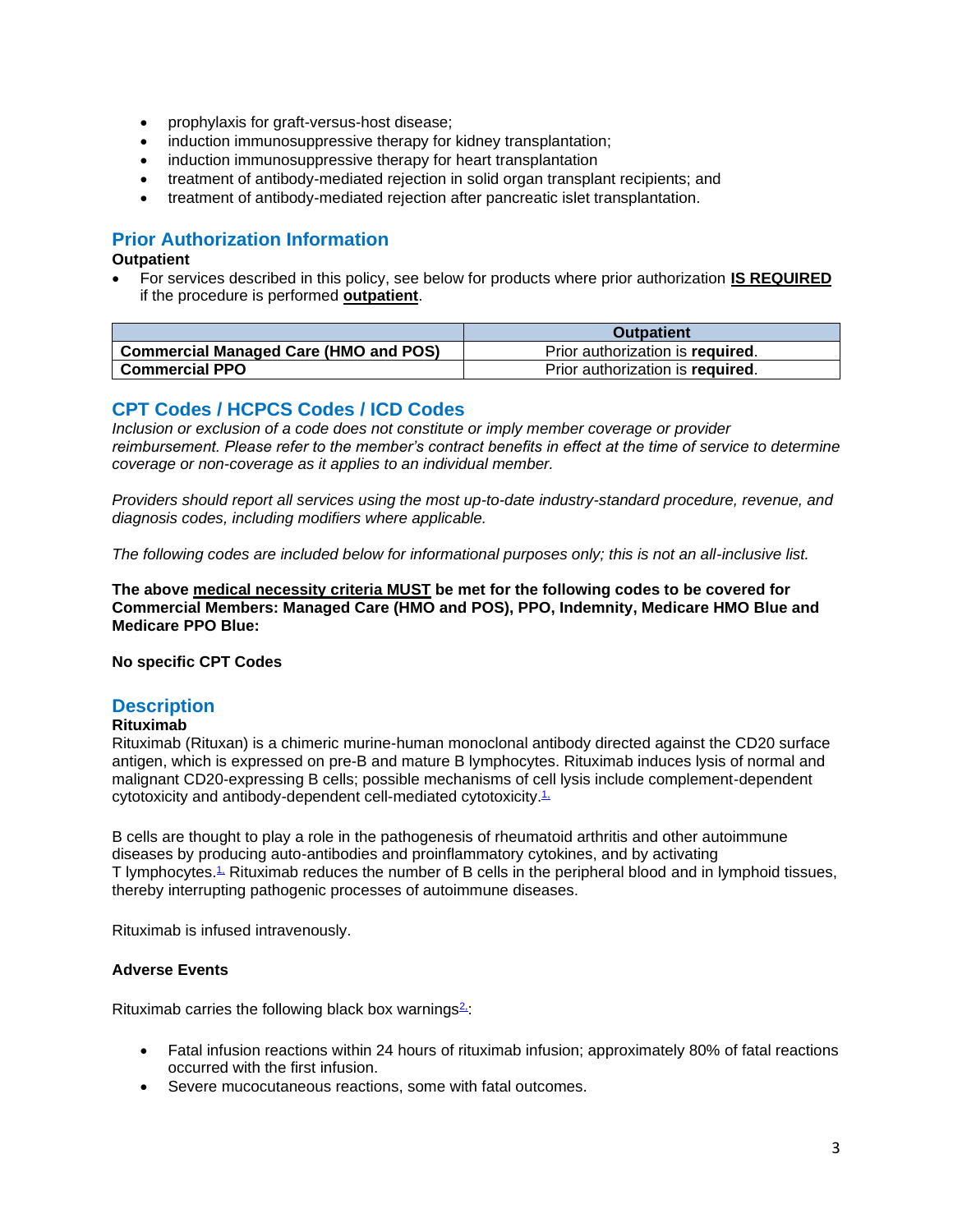- prophylaxis for graft-versus-host disease;
- induction immunosuppressive therapy for kidney transplantation;
- induction immunosuppressive therapy for heart transplantation
- treatment of antibody-mediated rejection in solid organ transplant recipients; and
- treatment of antibody-mediated rejection after pancreatic islet transplantation.

## <span id="page-2-1"></span>**Prior Authorization Information**

#### <span id="page-2-2"></span>**Outpatient**

• For services described in this policy, see below for products where prior authorization **IS REQUIRED** if the procedure is performed **outpatient**.

|                                              | <b>Outpatient</b>                |
|----------------------------------------------|----------------------------------|
| <b>Commercial Managed Care (HMO and POS)</b> | Prior authorization is required. |
| <b>Commercial PPO</b>                        | Prior authorization is required. |

### **CPT Codes / HCPCS Codes / ICD Codes**

*Inclusion or exclusion of a code does not constitute or imply member coverage or provider reimbursement. Please refer to the member's contract benefits in effect at the time of service to determine coverage or non-coverage as it applies to an individual member.*

*Providers should report all services using the most up-to-date industry-standard procedure, revenue, and diagnosis codes, including modifiers where applicable.*

*The following codes are included below for informational purposes only; this is not an all-inclusive list.*

**The above medical necessity criteria MUST be met for the following codes to be covered for Commercial Members: Managed Care (HMO and POS), PPO, Indemnity, Medicare HMO Blue and Medicare PPO Blue:**

<span id="page-2-0"></span>**No specific CPT Codes** 

### **Description**

#### **Rituximab**

Rituximab (Rituxan) is a chimeric murine-human monoclonal antibody directed against the CD20 surface antigen, which is expressed on pre-B and mature B lymphocytes. Rituximab induces lysis of normal and malignant CD20-expressing B cells; possible mechanisms of cell lysis include complement-dependent cytotoxicity and antibody-dependent cell-mediated cytotoxicity.<sup>[1,](https://www.evidencepositioningsystem.com/_w_a35a73ee6248862883ad358107a98a159d95ebd8e5b139b9/BCBSA/html/_w_a35a73ee6248862883ad358107a98a159d95ebd8e5b139b9/#reference-1)</sup>

B cells are thought to play a role in the pathogenesis of rheumatoid arthritis and other autoimmune diseases by producing auto-antibodies and proinflammatory cytokines, and by activating T lymphocytes.<sup>1</sup> Rituximab reduces the number of B cells in the peripheral blood and in lymphoid tissues, thereby interrupting pathogenic processes of autoimmune diseases.

Rituximab is infused intravenously.

#### **Adverse Events**

Rituximab carries the following black box warnings $2$ :

- Fatal infusion reactions within 24 hours of rituximab infusion; approximately 80% of fatal reactions occurred with the first infusion.
- Severe mucocutaneous reactions, some with fatal outcomes.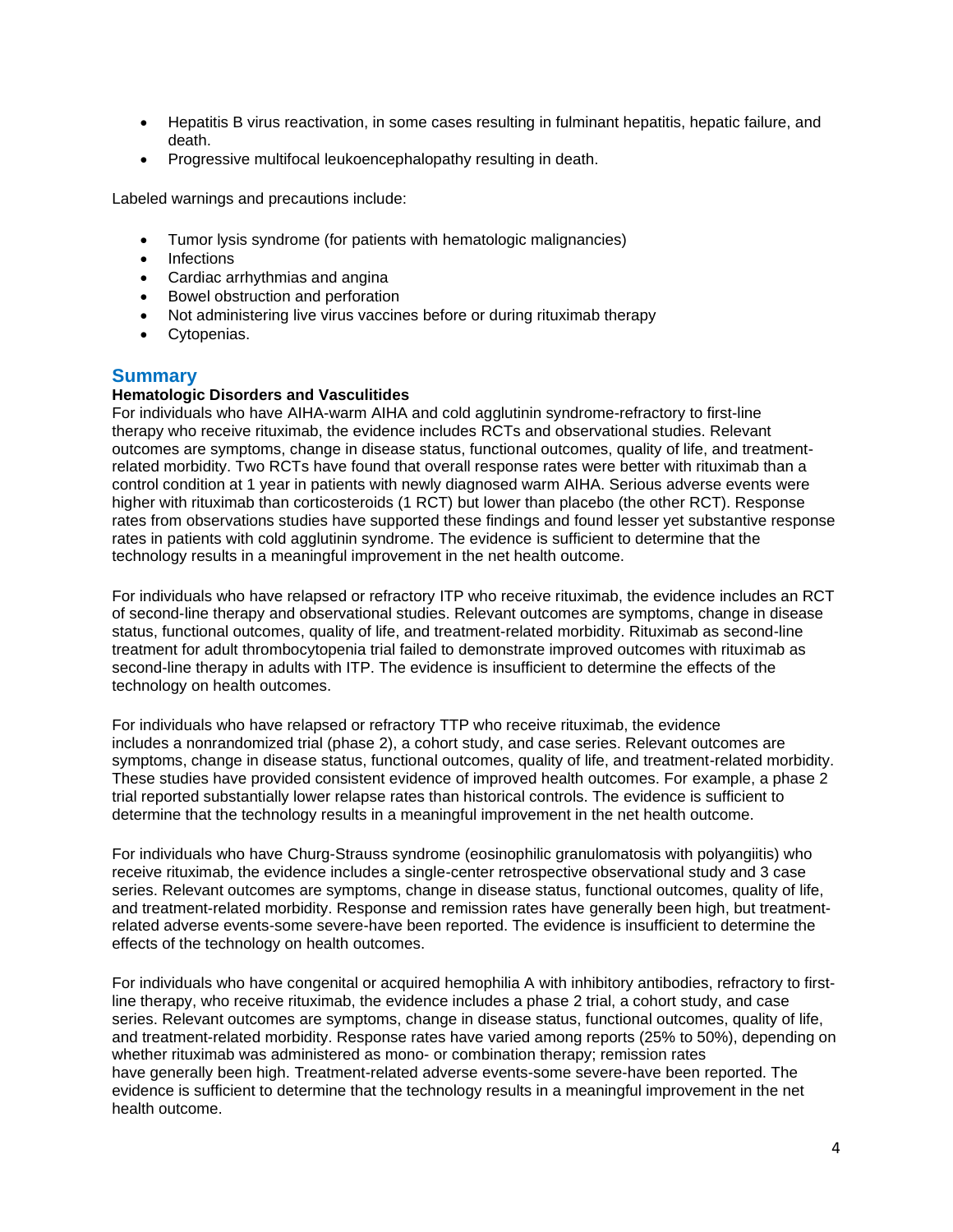- Hepatitis B virus reactivation, in some cases resulting in fulminant hepatitis, hepatic failure, and death.
- Progressive multifocal leukoencephalopathy resulting in death.

Labeled warnings and precautions include:

- Tumor lysis syndrome (for patients with hematologic malignancies)
- **Infections**
- Cardiac arrhythmias and angina
- Bowel obstruction and perforation
- Not administering live virus vaccines before or during rituximab therapy
- Cytopenias.

### **Summary**

#### **Hematologic Disorders and Vasculitides**

For individuals who have AIHA-warm AIHA and cold agglutinin syndrome-refractory to first-line therapy who receive rituximab, the evidence includes RCTs and observational studies. Relevant outcomes are symptoms, change in disease status, functional outcomes, quality of life, and treatmentrelated morbidity. Two RCTs have found that overall response rates were better with rituximab than a control condition at 1 year in patients with newly diagnosed warm AIHA. Serious adverse events were higher with rituximab than corticosteroids (1 RCT) but lower than placebo (the other RCT). Response rates from observations studies have supported these findings and found lesser yet substantive response rates in patients with cold agglutinin syndrome. The evidence is sufficient to determine that the technology results in a meaningful improvement in the net health outcome.

For individuals who have relapsed or refractory ITP who receive rituximab, the evidence includes an RCT of second-line therapy and observational studies. Relevant outcomes are symptoms, change in disease status, functional outcomes, quality of life, and treatment-related morbidity. Rituximab as second-line treatment for adult thrombocytopenia trial failed to demonstrate improved outcomes with rituximab as second-line therapy in adults with ITP. The evidence is insufficient to determine the effects of the technology on health outcomes.

For individuals who have relapsed or refractory TTP who receive rituximab, the evidence includes a nonrandomized trial (phase 2), a cohort study, and case series. Relevant outcomes are symptoms, change in disease status, functional outcomes, quality of life, and treatment-related morbidity. These studies have provided consistent evidence of improved health outcomes. For example, a phase 2 trial reported substantially lower relapse rates than historical controls. The evidence is sufficient to determine that the technology results in a meaningful improvement in the net health outcome.

For individuals who have Churg-Strauss syndrome (eosinophilic granulomatosis with polyangiitis) who receive rituximab, the evidence includes a single-center retrospective observational study and 3 case series. Relevant outcomes are symptoms, change in disease status, functional outcomes, quality of life, and treatment-related morbidity. Response and remission rates have generally been high, but treatmentrelated adverse events-some severe-have been reported. The evidence is insufficient to determine the effects of the technology on health outcomes.

For individuals who have congenital or acquired hemophilia A with inhibitory antibodies, refractory to firstline therapy, who receive rituximab, the evidence includes a phase 2 trial, a cohort study, and case series. Relevant outcomes are symptoms, change in disease status, functional outcomes, quality of life, and treatment-related morbidity. Response rates have varied among reports (25% to 50%), depending on whether rituximab was administered as mono- or combination therapy; remission rates have generally been high. Treatment-related adverse events-some severe-have been reported. The evidence is sufficient to determine that the technology results in a meaningful improvement in the net health outcome.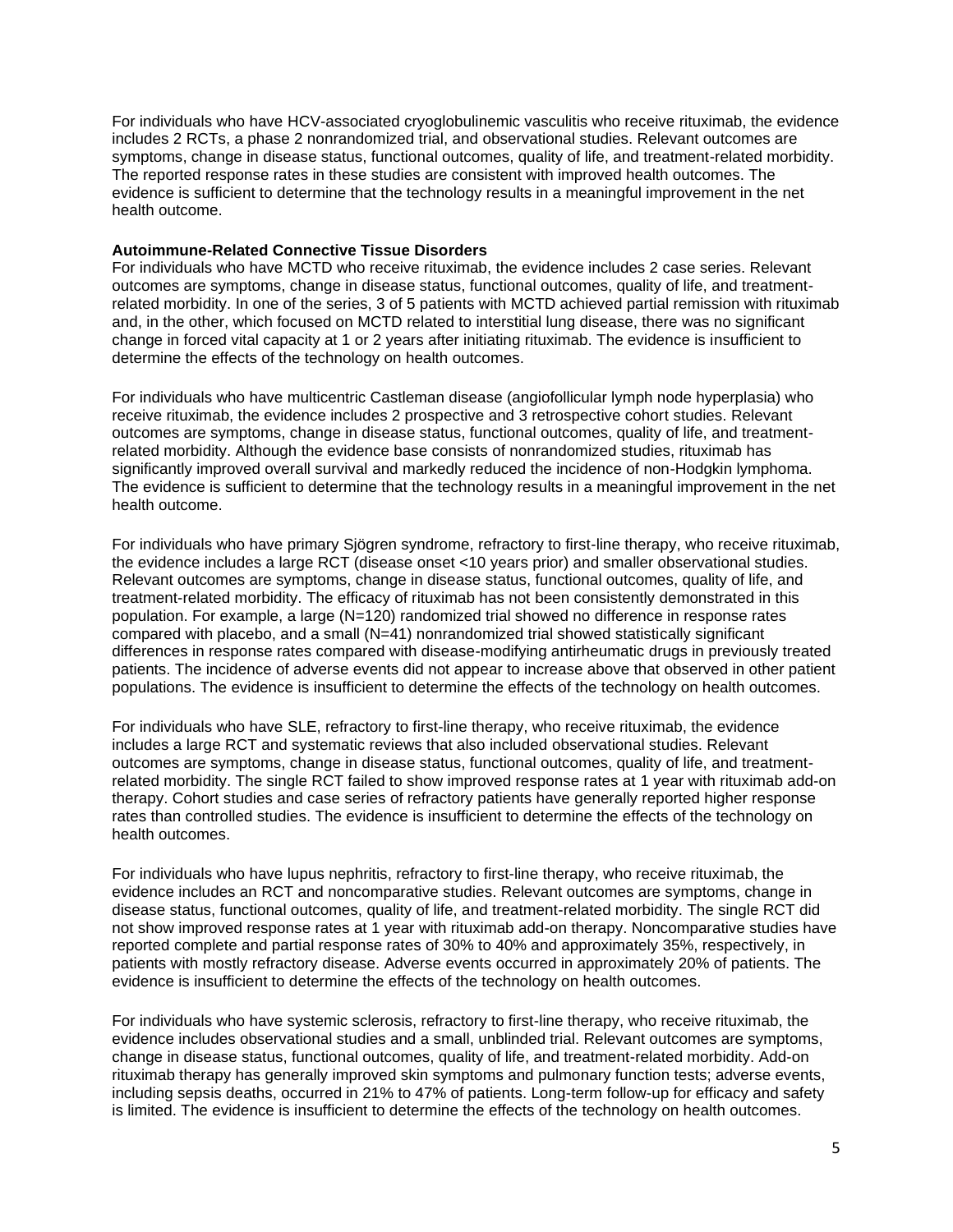For individuals who have HCV-associated cryoglobulinemic vasculitis who receive rituximab, the evidence includes 2 RCTs, a phase 2 nonrandomized trial, and observational studies. Relevant outcomes are symptoms, change in disease status, functional outcomes, quality of life, and treatment-related morbidity. The reported response rates in these studies are consistent with improved health outcomes. The evidence is sufficient to determine that the technology results in a meaningful improvement in the net health outcome.

#### **Autoimmune-Related Connective Tissue Disorders**

For individuals who have MCTD who receive rituximab, the evidence includes 2 case series. Relevant outcomes are symptoms, change in disease status, functional outcomes, quality of life, and treatmentrelated morbidity. In one of the series, 3 of 5 patients with MCTD achieved partial remission with rituximab and, in the other, which focused on MCTD related to interstitial lung disease, there was no significant change in forced vital capacity at 1 or 2 years after initiating rituximab. The evidence is insufficient to determine the effects of the technology on health outcomes.

For individuals who have multicentric Castleman disease (angiofollicular lymph node hyperplasia) who receive rituximab, the evidence includes 2 prospective and 3 retrospective cohort studies. Relevant outcomes are symptoms, change in disease status, functional outcomes, quality of life, and treatmentrelated morbidity. Although the evidence base consists of nonrandomized studies, rituximab has significantly improved overall survival and markedly reduced the incidence of non-Hodgkin lymphoma. The evidence is sufficient to determine that the technology results in a meaningful improvement in the net health outcome.

For individuals who have primary Sjögren syndrome, refractory to first-line therapy, who receive rituximab, the evidence includes a large RCT (disease onset <10 years prior) and smaller observational studies. Relevant outcomes are symptoms, change in disease status, functional outcomes, quality of life, and treatment-related morbidity. The efficacy of rituximab has not been consistently demonstrated in this population. For example, a large (N=120) randomized trial showed no difference in response rates compared with placebo, and a small (N=41) nonrandomized trial showed statistically significant differences in response rates compared with disease-modifying antirheumatic drugs in previously treated patients. The incidence of adverse events did not appear to increase above that observed in other patient populations. The evidence is insufficient to determine the effects of the technology on health outcomes.

For individuals who have SLE, refractory to first-line therapy, who receive rituximab, the evidence includes a large RCT and systematic reviews that also included observational studies. Relevant outcomes are symptoms, change in disease status, functional outcomes, quality of life, and treatmentrelated morbidity. The single RCT failed to show improved response rates at 1 year with rituximab add-on therapy. Cohort studies and case series of refractory patients have generally reported higher response rates than controlled studies. The evidence is insufficient to determine the effects of the technology on health outcomes.

For individuals who have lupus nephritis, refractory to first-line therapy, who receive rituximab, the evidence includes an RCT and noncomparative studies. Relevant outcomes are symptoms, change in disease status, functional outcomes, quality of life, and treatment-related morbidity. The single RCT did not show improved response rates at 1 year with rituximab add-on therapy. Noncomparative studies have reported complete and partial response rates of 30% to 40% and approximately 35%, respectively, in patients with mostly refractory disease. Adverse events occurred in approximately 20% of patients. The evidence is insufficient to determine the effects of the technology on health outcomes.

For individuals who have systemic sclerosis, refractory to first-line therapy, who receive rituximab, the evidence includes observational studies and a small, unblinded trial. Relevant outcomes are symptoms, change in disease status, functional outcomes, quality of life, and treatment-related morbidity. Add-on rituximab therapy has generally improved skin symptoms and pulmonary function tests; adverse events, including sepsis deaths, occurred in 21% to 47% of patients. Long-term follow-up for efficacy and safety is limited. The evidence is insufficient to determine the effects of the technology on health outcomes.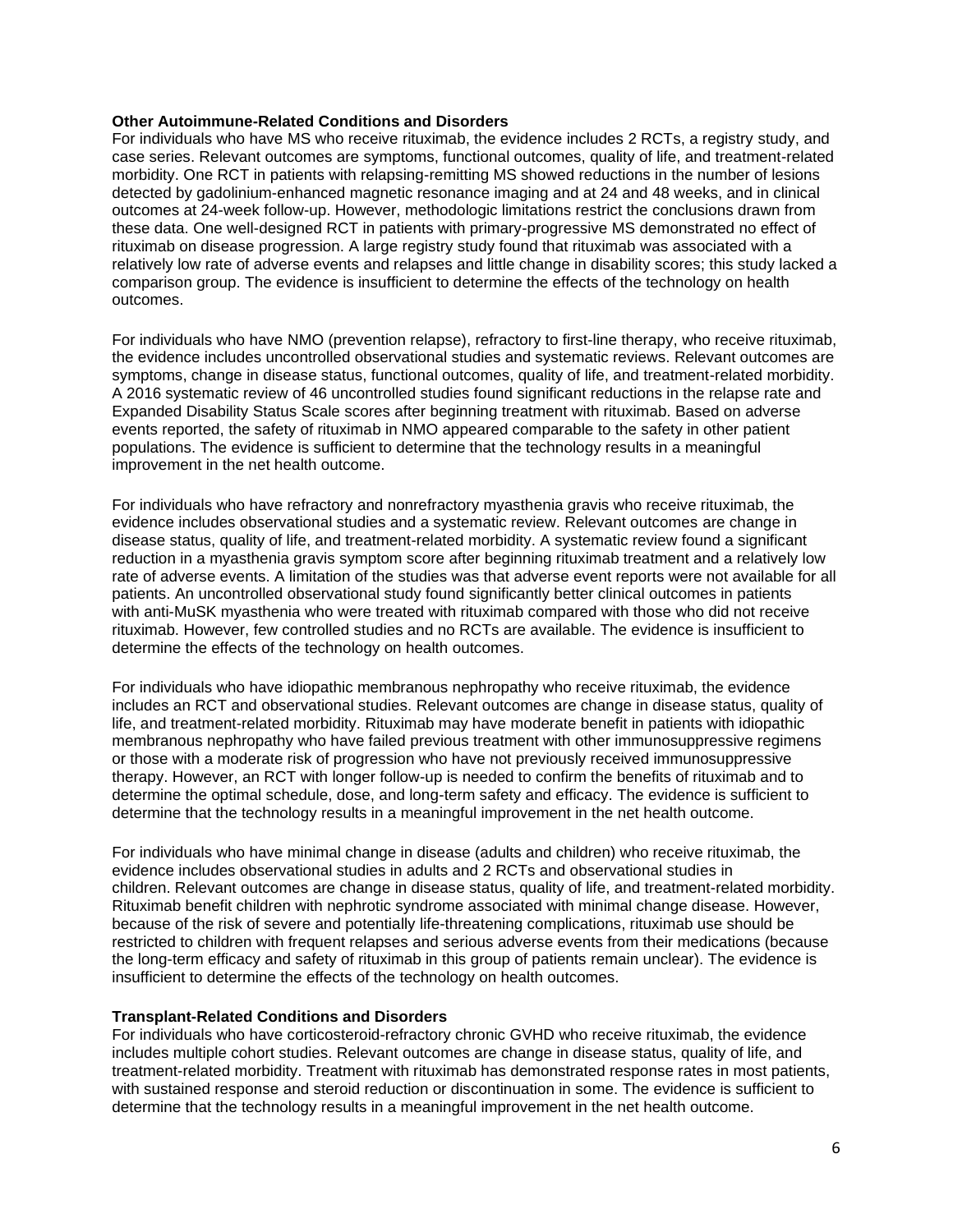#### **Other Autoimmune-Related Conditions and Disorders**

For individuals who have MS who receive rituximab, the evidence includes 2 RCTs, a registry study, and case series. Relevant outcomes are symptoms, functional outcomes, quality of life, and treatment-related morbidity. One RCT in patients with relapsing-remitting MS showed reductions in the number of lesions detected by gadolinium-enhanced magnetic resonance imaging and at 24 and 48 weeks, and in clinical outcomes at 24-week follow-up. However, methodologic limitations restrict the conclusions drawn from these data. One well-designed RCT in patients with primary-progressive MS demonstrated no effect of rituximab on disease progression. A large registry study found that rituximab was associated with a relatively low rate of adverse events and relapses and little change in disability scores; this study lacked a comparison group. The evidence is insufficient to determine the effects of the technology on health outcomes.

For individuals who have NMO (prevention relapse), refractory to first-line therapy, who receive rituximab, the evidence includes uncontrolled observational studies and systematic reviews. Relevant outcomes are symptoms, change in disease status, functional outcomes, quality of life, and treatment-related morbidity. A 2016 systematic review of 46 uncontrolled studies found significant reductions in the relapse rate and Expanded Disability Status Scale scores after beginning treatment with rituximab. Based on adverse events reported, the safety of rituximab in NMO appeared comparable to the safety in other patient populations. The evidence is sufficient to determine that the technology results in a meaningful improvement in the net health outcome.

For individuals who have refractory and nonrefractory myasthenia gravis who receive rituximab, the evidence includes observational studies and a systematic review. Relevant outcomes are change in disease status, quality of life, and treatment-related morbidity. A systematic review found a significant reduction in a myasthenia gravis symptom score after beginning rituximab treatment and a relatively low rate of adverse events. A limitation of the studies was that adverse event reports were not available for all patients. An uncontrolled observational study found significantly better clinical outcomes in patients with anti-MuSK myasthenia who were treated with rituximab compared with those who did not receive rituximab. However, few controlled studies and no RCTs are available. The evidence is insufficient to determine the effects of the technology on health outcomes.

For individuals who have idiopathic membranous nephropathy who receive rituximab, the evidence includes an RCT and observational studies. Relevant outcomes are change in disease status, quality of life, and treatment-related morbidity. Rituximab may have moderate benefit in patients with idiopathic membranous nephropathy who have failed previous treatment with other immunosuppressive regimens or those with a moderate risk of progression who have not previously received immunosuppressive therapy. However, an RCT with longer follow-up is needed to confirm the benefits of rituximab and to determine the optimal schedule, dose, and long-term safety and efficacy. The evidence is sufficient to determine that the technology results in a meaningful improvement in the net health outcome.

For individuals who have minimal change in disease (adults and children) who receive rituximab, the evidence includes observational studies in adults and 2 RCTs and observational studies in children. Relevant outcomes are change in disease status, quality of life, and treatment-related morbidity. Rituximab benefit children with nephrotic syndrome associated with minimal change disease. However, because of the risk of severe and potentially life-threatening complications, rituximab use should be restricted to children with frequent relapses and serious adverse events from their medications (because the long-term efficacy and safety of rituximab in this group of patients remain unclear). The evidence is insufficient to determine the effects of the technology on health outcomes.

#### **Transplant-Related Conditions and Disorders**

For individuals who have corticosteroid-refractory chronic GVHD who receive rituximab, the evidence includes multiple cohort studies. Relevant outcomes are change in disease status, quality of life, and treatment-related morbidity. Treatment with rituximab has demonstrated response rates in most patients, with sustained response and steroid reduction or discontinuation in some. The evidence is sufficient to determine that the technology results in a meaningful improvement in the net health outcome.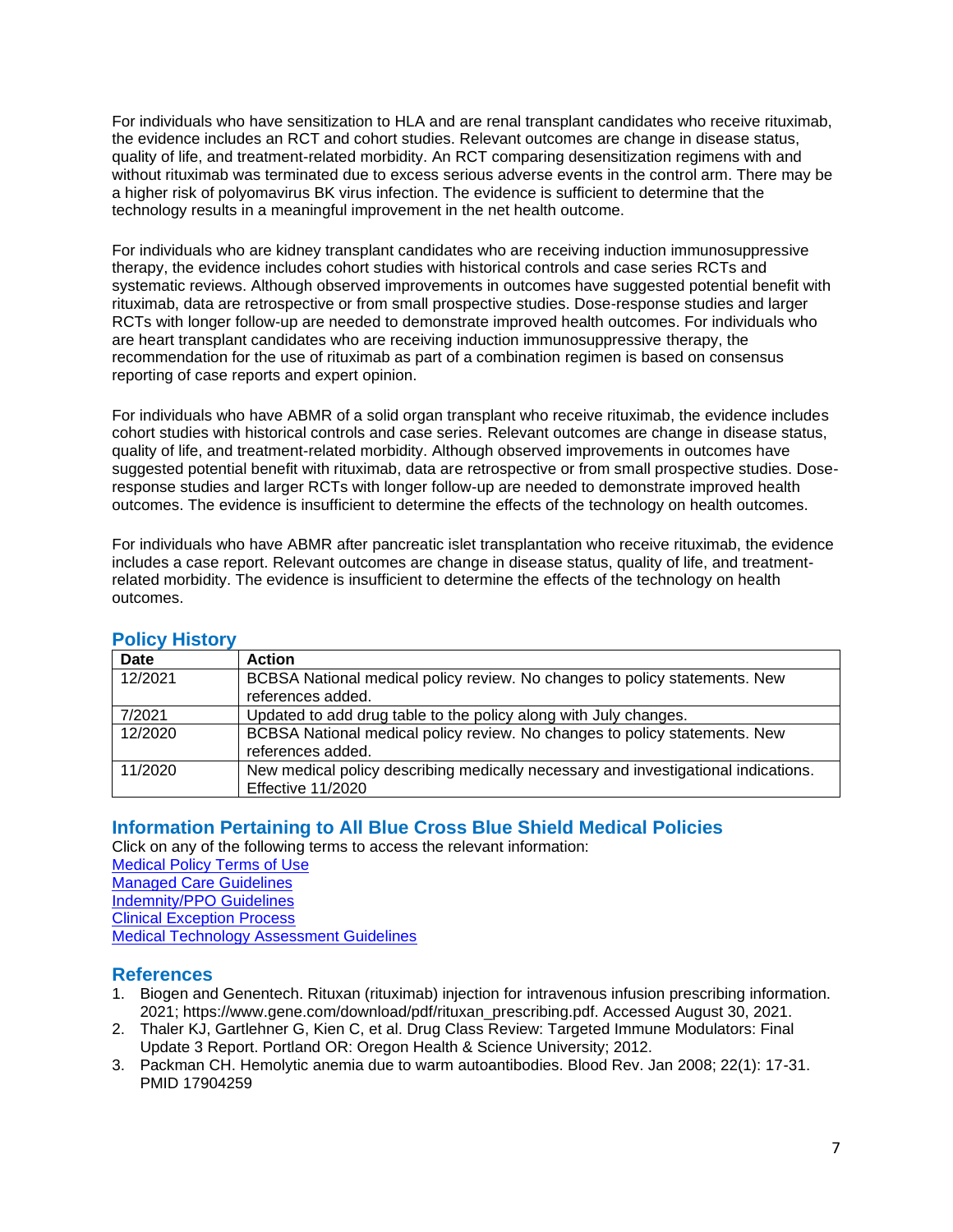For individuals who have sensitization to HLA and are renal transplant candidates who receive rituximab, the evidence includes an RCT and cohort studies. Relevant outcomes are change in disease status, quality of life, and treatment-related morbidity. An RCT comparing desensitization regimens with and without rituximab was terminated due to excess serious adverse events in the control arm. There may be a higher risk of polyomavirus BK virus infection. The evidence is sufficient to determine that the technology results in a meaningful improvement in the net health outcome.

For individuals who are kidney transplant candidates who are receiving induction immunosuppressive therapy, the evidence includes cohort studies with historical controls and case series RCTs and systematic reviews. Although observed improvements in outcomes have suggested potential benefit with rituximab, data are retrospective or from small prospective studies. Dose-response studies and larger RCTs with longer follow-up are needed to demonstrate improved health outcomes. For individuals who are heart transplant candidates who are receiving induction immunosuppressive therapy, the recommendation for the use of rituximab as part of a combination regimen is based on consensus reporting of case reports and expert opinion.

For individuals who have ABMR of a solid organ transplant who receive rituximab, the evidence includes cohort studies with historical controls and case series. Relevant outcomes are change in disease status, quality of life, and treatment-related morbidity. Although observed improvements in outcomes have suggested potential benefit with rituximab, data are retrospective or from small prospective studies. Doseresponse studies and larger RCTs with longer follow-up are needed to demonstrate improved health outcomes. The evidence is insufficient to determine the effects of the technology on health outcomes.

For individuals who have ABMR after pancreatic islet transplantation who receive rituximab, the evidence includes a case report. Relevant outcomes are change in disease status, quality of life, and treatmentrelated morbidity. The evidence is insufficient to determine the effects of the technology on health outcomes.

| <b>Date</b> | <b>Action</b>                                                                      |
|-------------|------------------------------------------------------------------------------------|
| 12/2021     | BCBSA National medical policy review. No changes to policy statements. New         |
|             | references added.                                                                  |
| 7/2021      | Updated to add drug table to the policy along with July changes.                   |
| 12/2020     | BCBSA National medical policy review. No changes to policy statements. New         |
|             | references added.                                                                  |
| 11/2020     | New medical policy describing medically necessary and investigational indications. |
|             | Effective 11/2020                                                                  |

## <span id="page-6-1"></span>**Policy History**

### <span id="page-6-2"></span>**[Information Pertaining to All Blue Cross Blue Shield Medical Policies](#page-6-2)**

Click on any of the following terms to access the relevant information:

- [Medical Policy Terms of Use](http://www.bluecrossma.org/medical-policies/sites/g/files/csphws2091/files/acquiadam-assets/Medical_Policy_Terms_of_Use_prn.pdf)
- [Managed Care Guidelines](http://www.bluecrossma.org/medical-policies/sites/g/files/csphws2091/files/acquiadam-assets/Managed_Care_Guidelines_prn.pdf)
- [Indemnity/PPO Guidelines](http://www.bluecrossma.org/medical-policies/sites/g/files/csphws2091/files/acquiadam-assets/Indemnity_and_PPO_Guidelines_prn.pdf) [Clinical Exception Process](http://www.bluecrossma.org/medical-policies/sites/g/files/csphws2091/files/acquiadam-assets/Clinical_Exception_Process_prn.pdf)

[Medical Technology Assessment Guidelines](http://www.bluecrossma.org/medical-policies/sites/g/files/csphws2091/files/acquiadam-assets/Medical_Technology_Assessment_Guidelines_prn.pdf)

### <span id="page-6-0"></span>**References**

- 1. Biogen and Genentech. Rituxan (rituximab) injection for intravenous infusion prescribing information. 2021; https://www.gene.com/download/pdf/rituxan\_prescribing.pdf. Accessed August 30, 2021.
- 2. Thaler KJ, Gartlehner G, Kien C, et al. Drug Class Review: Targeted Immune Modulators: Final Update 3 Report. Portland OR: Oregon Health & Science University; 2012.
- 3. Packman CH. Hemolytic anemia due to warm autoantibodies. Blood Rev. Jan 2008; 22(1): 17-31. PMID 17904259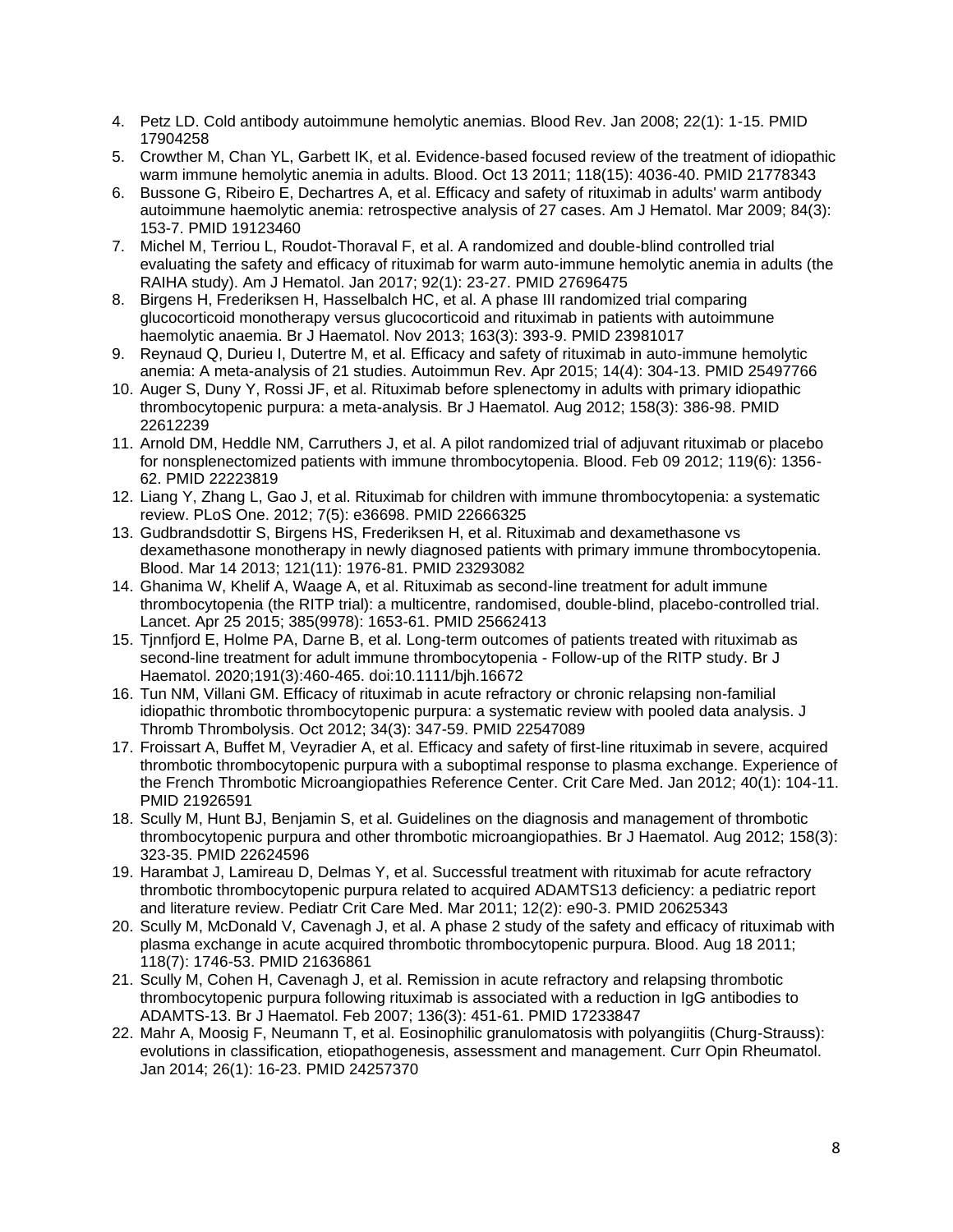- 4. Petz LD. Cold antibody autoimmune hemolytic anemias. Blood Rev. Jan 2008; 22(1): 1-15. PMID 17904258
- 5. Crowther M, Chan YL, Garbett IK, et al. Evidence-based focused review of the treatment of idiopathic warm immune hemolytic anemia in adults. Blood. Oct 13 2011; 118(15): 4036-40. PMID 21778343
- 6. Bussone G, Ribeiro E, Dechartres A, et al. Efficacy and safety of rituximab in adults' warm antibody autoimmune haemolytic anemia: retrospective analysis of 27 cases. Am J Hematol. Mar 2009; 84(3): 153-7. PMID 19123460
- 7. Michel M, Terriou L, Roudot-Thoraval F, et al. A randomized and double-blind controlled trial evaluating the safety and efficacy of rituximab for warm auto-immune hemolytic anemia in adults (the RAIHA study). Am J Hematol. Jan 2017; 92(1): 23-27. PMID 27696475
- 8. Birgens H, Frederiksen H, Hasselbalch HC, et al. A phase III randomized trial comparing glucocorticoid monotherapy versus glucocorticoid and rituximab in patients with autoimmune haemolytic anaemia. Br J Haematol. Nov 2013; 163(3): 393-9. PMID 23981017
- 9. Reynaud Q, Durieu I, Dutertre M, et al. Efficacy and safety of rituximab in auto-immune hemolytic anemia: A meta-analysis of 21 studies. Autoimmun Rev. Apr 2015; 14(4): 304-13. PMID 25497766
- 10. Auger S, Duny Y, Rossi JF, et al. Rituximab before splenectomy in adults with primary idiopathic thrombocytopenic purpura: a meta-analysis. Br J Haematol. Aug 2012; 158(3): 386-98. PMID 22612239
- 11. Arnold DM, Heddle NM, Carruthers J, et al. A pilot randomized trial of adjuvant rituximab or placebo for nonsplenectomized patients with immune thrombocytopenia. Blood. Feb 09 2012; 119(6): 1356- 62. PMID 22223819
- 12. Liang Y, Zhang L, Gao J, et al. Rituximab for children with immune thrombocytopenia: a systematic review. PLoS One. 2012; 7(5): e36698. PMID 22666325
- 13. Gudbrandsdottir S, Birgens HS, Frederiksen H, et al. Rituximab and dexamethasone vs dexamethasone monotherapy in newly diagnosed patients with primary immune thrombocytopenia. Blood. Mar 14 2013; 121(11): 1976-81. PMID 23293082
- 14. Ghanima W, Khelif A, Waage A, et al. Rituximab as second-line treatment for adult immune thrombocytopenia (the RITP trial): a multicentre, randomised, double-blind, placebo-controlled trial. Lancet. Apr 25 2015; 385(9978): 1653-61. PMID 25662413
- 15. Tjnnfjord E, Holme PA, Darne B, et al. Long-term outcomes of patients treated with rituximab as second-line treatment for adult immune thrombocytopenia - Follow-up of the RITP study. Br J Haematol. 2020;191(3):460-465. doi:10.1111/bjh.16672
- 16. Tun NM, Villani GM. Efficacy of rituximab in acute refractory or chronic relapsing non-familial idiopathic thrombotic thrombocytopenic purpura: a systematic review with pooled data analysis. J Thromb Thrombolysis. Oct 2012; 34(3): 347-59. PMID 22547089
- 17. Froissart A, Buffet M, Veyradier A, et al. Efficacy and safety of first-line rituximab in severe, acquired thrombotic thrombocytopenic purpura with a suboptimal response to plasma exchange. Experience of the French Thrombotic Microangiopathies Reference Center. Crit Care Med. Jan 2012; 40(1): 104-11. PMID 21926591
- 18. Scully M, Hunt BJ, Benjamin S, et al. Guidelines on the diagnosis and management of thrombotic thrombocytopenic purpura and other thrombotic microangiopathies. Br J Haematol. Aug 2012; 158(3): 323-35. PMID 22624596
- 19. Harambat J, Lamireau D, Delmas Y, et al. Successful treatment with rituximab for acute refractory thrombotic thrombocytopenic purpura related to acquired ADAMTS13 deficiency: a pediatric report and literature review. Pediatr Crit Care Med. Mar 2011; 12(2): e90-3. PMID 20625343
- 20. Scully M, McDonald V, Cavenagh J, et al. A phase 2 study of the safety and efficacy of rituximab with plasma exchange in acute acquired thrombotic thrombocytopenic purpura. Blood. Aug 18 2011; 118(7): 1746-53. PMID 21636861
- 21. Scully M, Cohen H, Cavenagh J, et al. Remission in acute refractory and relapsing thrombotic thrombocytopenic purpura following rituximab is associated with a reduction in IgG antibodies to ADAMTS-13. Br J Haematol. Feb 2007; 136(3): 451-61. PMID 17233847
- 22. Mahr A, Moosig F, Neumann T, et al. Eosinophilic granulomatosis with polyangiitis (Churg-Strauss): evolutions in classification, etiopathogenesis, assessment and management. Curr Opin Rheumatol. Jan 2014; 26(1): 16-23. PMID 24257370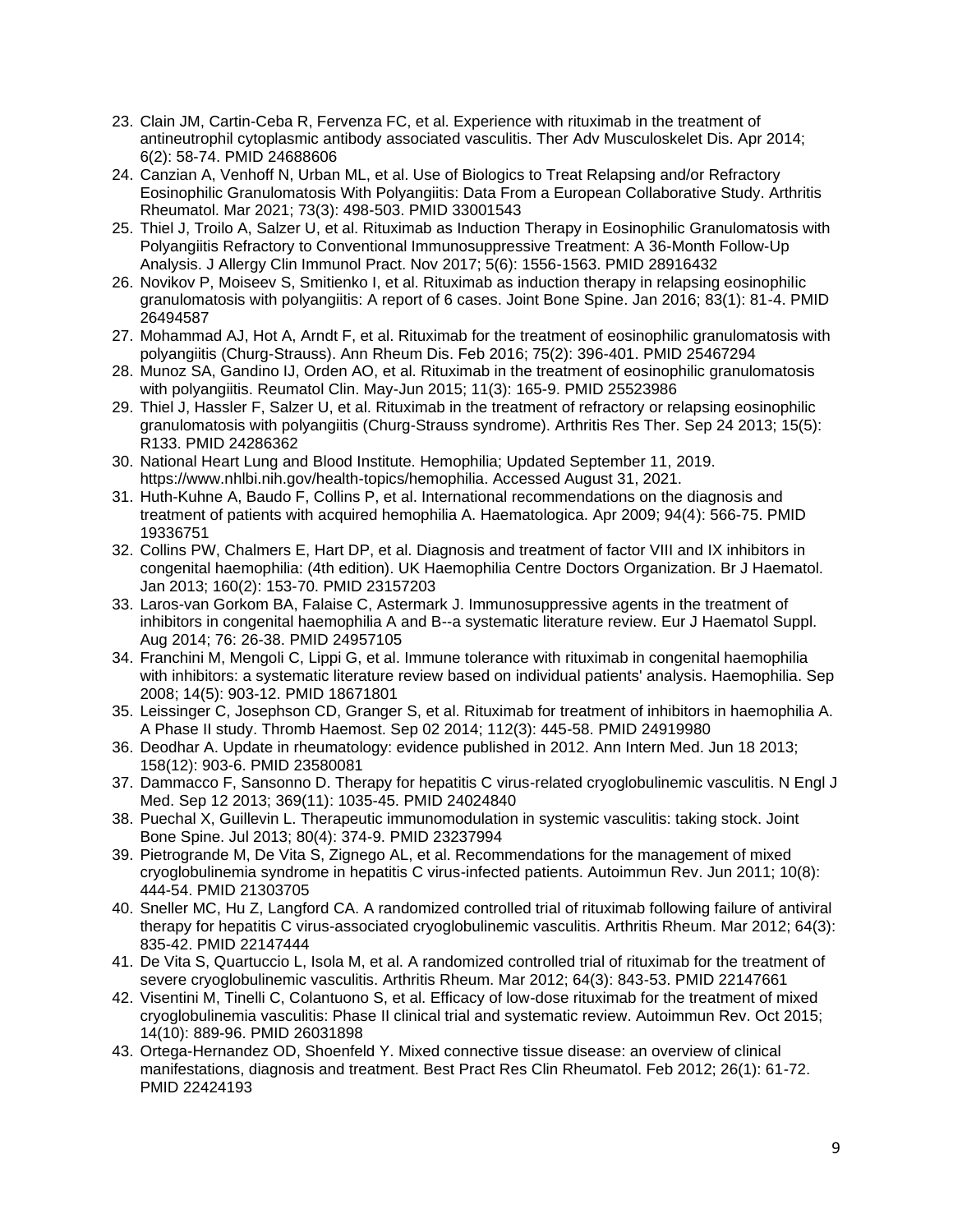- 23. Clain JM, Cartin-Ceba R, Fervenza FC, et al. Experience with rituximab in the treatment of antineutrophil cytoplasmic antibody associated vasculitis. Ther Adv Musculoskelet Dis. Apr 2014; 6(2): 58-74. PMID 24688606
- 24. Canzian A, Venhoff N, Urban ML, et al. Use of Biologics to Treat Relapsing and/or Refractory Eosinophilic Granulomatosis With Polyangiitis: Data From a European Collaborative Study. Arthritis Rheumatol. Mar 2021; 73(3): 498-503. PMID 33001543
- 25. Thiel J, Troilo A, Salzer U, et al. Rituximab as Induction Therapy in Eosinophilic Granulomatosis with Polyangiitis Refractory to Conventional Immunosuppressive Treatment: A 36-Month Follow-Up Analysis. J Allergy Clin Immunol Pract. Nov 2017; 5(6): 1556-1563. PMID 28916432
- 26. Novikov P, Moiseev S, Smitienko I, et al. Rituximab as induction therapy in relapsing eosinophilic granulomatosis with polyangiitis: A report of 6 cases. Joint Bone Spine. Jan 2016; 83(1): 81-4. PMID 26494587
- 27. Mohammad AJ, Hot A, Arndt F, et al. Rituximab for the treatment of eosinophilic granulomatosis with polyangiitis (Churg-Strauss). Ann Rheum Dis. Feb 2016; 75(2): 396-401. PMID 25467294
- 28. Munoz SA, Gandino IJ, Orden AO, et al. Rituximab in the treatment of eosinophilic granulomatosis with polyangiitis. Reumatol Clin. May-Jun 2015; 11(3): 165-9. PMID 25523986
- 29. Thiel J, Hassler F, Salzer U, et al. Rituximab in the treatment of refractory or relapsing eosinophilic granulomatosis with polyangiitis (Churg-Strauss syndrome). Arthritis Res Ther. Sep 24 2013; 15(5): R133. PMID 24286362
- 30. National Heart Lung and Blood Institute. Hemophilia; Updated September 11, 2019. https://www.nhlbi.nih.gov/health-topics/hemophilia. Accessed August 31, 2021.
- 31. Huth-Kuhne A, Baudo F, Collins P, et al. International recommendations on the diagnosis and treatment of patients with acquired hemophilia A. Haematologica. Apr 2009; 94(4): 566-75. PMID 19336751
- 32. Collins PW, Chalmers E, Hart DP, et al. Diagnosis and treatment of factor VIII and IX inhibitors in congenital haemophilia: (4th edition). UK Haemophilia Centre Doctors Organization. Br J Haematol. Jan 2013; 160(2): 153-70. PMID 23157203
- 33. Laros-van Gorkom BA, Falaise C, Astermark J. Immunosuppressive agents in the treatment of inhibitors in congenital haemophilia A and B--a systematic literature review. Eur J Haematol Suppl. Aug 2014; 76: 26-38. PMID 24957105
- 34. Franchini M, Mengoli C, Lippi G, et al. Immune tolerance with rituximab in congenital haemophilia with inhibitors: a systematic literature review based on individual patients' analysis. Haemophilia. Sep 2008; 14(5): 903-12. PMID 18671801
- 35. Leissinger C, Josephson CD, Granger S, et al. Rituximab for treatment of inhibitors in haemophilia A. A Phase II study. Thromb Haemost. Sep 02 2014; 112(3): 445-58. PMID 24919980
- 36. Deodhar A. Update in rheumatology: evidence published in 2012. Ann Intern Med. Jun 18 2013; 158(12): 903-6. PMID 23580081
- 37. Dammacco F, Sansonno D. Therapy for hepatitis C virus-related cryoglobulinemic vasculitis. N Engl J Med. Sep 12 2013; 369(11): 1035-45. PMID 24024840
- 38. Puechal X, Guillevin L. Therapeutic immunomodulation in systemic vasculitis: taking stock. Joint Bone Spine. Jul 2013; 80(4): 374-9. PMID 23237994
- 39. Pietrogrande M, De Vita S, Zignego AL, et al. Recommendations for the management of mixed cryoglobulinemia syndrome in hepatitis C virus-infected patients. Autoimmun Rev. Jun 2011; 10(8): 444-54. PMID 21303705
- 40. Sneller MC, Hu Z, Langford CA. A randomized controlled trial of rituximab following failure of antiviral therapy for hepatitis C virus-associated cryoglobulinemic vasculitis. Arthritis Rheum. Mar 2012; 64(3): 835-42. PMID 22147444
- 41. De Vita S, Quartuccio L, Isola M, et al. A randomized controlled trial of rituximab for the treatment of severe cryoglobulinemic vasculitis. Arthritis Rheum. Mar 2012; 64(3): 843-53. PMID 22147661
- 42. Visentini M, Tinelli C, Colantuono S, et al. Efficacy of low-dose rituximab for the treatment of mixed cryoglobulinemia vasculitis: Phase II clinical trial and systematic review. Autoimmun Rev. Oct 2015; 14(10): 889-96. PMID 26031898
- 43. Ortega-Hernandez OD, Shoenfeld Y. Mixed connective tissue disease: an overview of clinical manifestations, diagnosis and treatment. Best Pract Res Clin Rheumatol. Feb 2012; 26(1): 61-72. PMID 22424193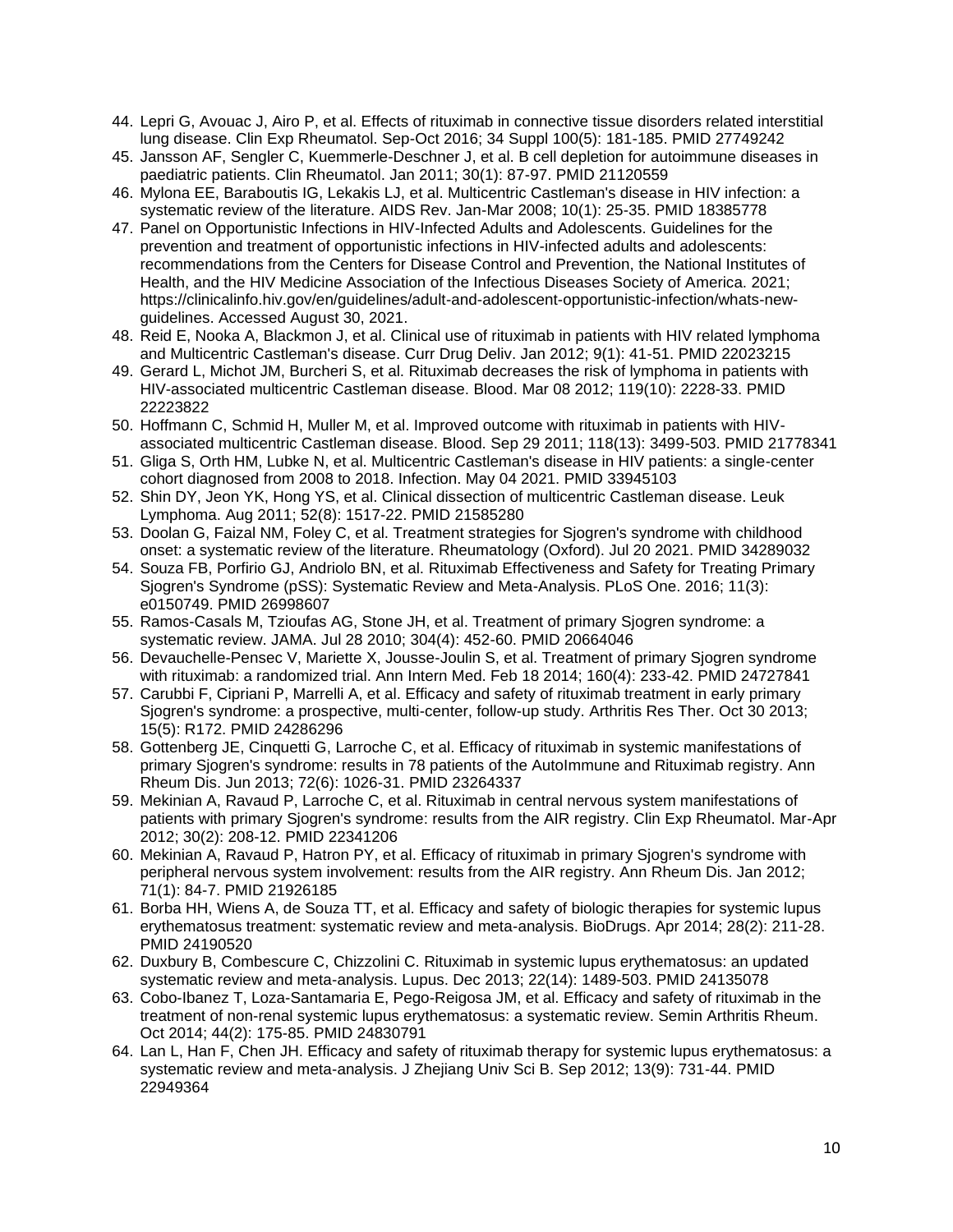- 44. Lepri G, Avouac J, Airo P, et al. Effects of rituximab in connective tissue disorders related interstitial lung disease. Clin Exp Rheumatol. Sep-Oct 2016; 34 Suppl 100(5): 181-185. PMID 27749242
- 45. Jansson AF, Sengler C, Kuemmerle-Deschner J, et al. B cell depletion for autoimmune diseases in paediatric patients. Clin Rheumatol. Jan 2011; 30(1): 87-97. PMID 21120559
- 46. Mylona EE, Baraboutis IG, Lekakis LJ, et al. Multicentric Castleman's disease in HIV infection: a systematic review of the literature. AIDS Rev. Jan-Mar 2008; 10(1): 25-35. PMID 18385778
- 47. Panel on Opportunistic Infections in HIV-Infected Adults and Adolescents. Guidelines for the prevention and treatment of opportunistic infections in HIV-infected adults and adolescents: recommendations from the Centers for Disease Control and Prevention, the National Institutes of Health, and the HIV Medicine Association of the Infectious Diseases Society of America. 2021; https://clinicalinfo.hiv.gov/en/guidelines/adult-and-adolescent-opportunistic-infection/whats-newguidelines. Accessed August 30, 2021.
- 48. Reid E, Nooka A, Blackmon J, et al. Clinical use of rituximab in patients with HIV related lymphoma and Multicentric Castleman's disease. Curr Drug Deliv. Jan 2012; 9(1): 41-51. PMID 22023215
- 49. Gerard L, Michot JM, Burcheri S, et al. Rituximab decreases the risk of lymphoma in patients with HIV-associated multicentric Castleman disease. Blood. Mar 08 2012; 119(10): 2228-33. PMID 22223822
- 50. Hoffmann C, Schmid H, Muller M, et al. Improved outcome with rituximab in patients with HIVassociated multicentric Castleman disease. Blood. Sep 29 2011; 118(13): 3499-503. PMID 21778341
- 51. Gliga S, Orth HM, Lubke N, et al. Multicentric Castleman's disease in HIV patients: a single-center cohort diagnosed from 2008 to 2018. Infection. May 04 2021. PMID 33945103
- 52. Shin DY, Jeon YK, Hong YS, et al. Clinical dissection of multicentric Castleman disease. Leuk Lymphoma. Aug 2011; 52(8): 1517-22. PMID 21585280
- 53. Doolan G, Faizal NM, Foley C, et al. Treatment strategies for Sjogren's syndrome with childhood onset: a systematic review of the literature. Rheumatology (Oxford). Jul 20 2021. PMID 34289032
- 54. Souza FB, Porfirio GJ, Andriolo BN, et al. Rituximab Effectiveness and Safety for Treating Primary Sjogren's Syndrome (pSS): Systematic Review and Meta-Analysis. PLoS One. 2016; 11(3): e0150749. PMID 26998607
- 55. Ramos-Casals M, Tzioufas AG, Stone JH, et al. Treatment of primary Sjogren syndrome: a systematic review. JAMA. Jul 28 2010; 304(4): 452-60. PMID 20664046
- 56. Devauchelle-Pensec V, Mariette X, Jousse-Joulin S, et al. Treatment of primary Sjogren syndrome with rituximab: a randomized trial. Ann Intern Med. Feb 18 2014; 160(4): 233-42. PMID 24727841
- 57. Carubbi F, Cipriani P, Marrelli A, et al. Efficacy and safety of rituximab treatment in early primary Sjogren's syndrome: a prospective, multi-center, follow-up study. Arthritis Res Ther. Oct 30 2013; 15(5): R172. PMID 24286296
- 58. Gottenberg JE, Cinquetti G, Larroche C, et al. Efficacy of rituximab in systemic manifestations of primary Sjogren's syndrome: results in 78 patients of the AutoImmune and Rituximab registry. Ann Rheum Dis. Jun 2013; 72(6): 1026-31. PMID 23264337
- 59. Mekinian A, Ravaud P, Larroche C, et al. Rituximab in central nervous system manifestations of patients with primary Sjogren's syndrome: results from the AIR registry. Clin Exp Rheumatol. Mar-Apr 2012; 30(2): 208-12. PMID 22341206
- 60. Mekinian A, Ravaud P, Hatron PY, et al. Efficacy of rituximab in primary Sjogren's syndrome with peripheral nervous system involvement: results from the AIR registry. Ann Rheum Dis. Jan 2012; 71(1): 84-7. PMID 21926185
- 61. Borba HH, Wiens A, de Souza TT, et al. Efficacy and safety of biologic therapies for systemic lupus erythematosus treatment: systematic review and meta-analysis. BioDrugs. Apr 2014; 28(2): 211-28. PMID 24190520
- 62. Duxbury B, Combescure C, Chizzolini C. Rituximab in systemic lupus erythematosus: an updated systematic review and meta-analysis. Lupus. Dec 2013; 22(14): 1489-503. PMID 24135078
- 63. Cobo-Ibanez T, Loza-Santamaria E, Pego-Reigosa JM, et al. Efficacy and safety of rituximab in the treatment of non-renal systemic lupus erythematosus: a systematic review. Semin Arthritis Rheum. Oct 2014; 44(2): 175-85. PMID 24830791
- 64. Lan L, Han F, Chen JH. Efficacy and safety of rituximab therapy for systemic lupus erythematosus: a systematic review and meta-analysis. J Zhejiang Univ Sci B. Sep 2012; 13(9): 731-44. PMID 22949364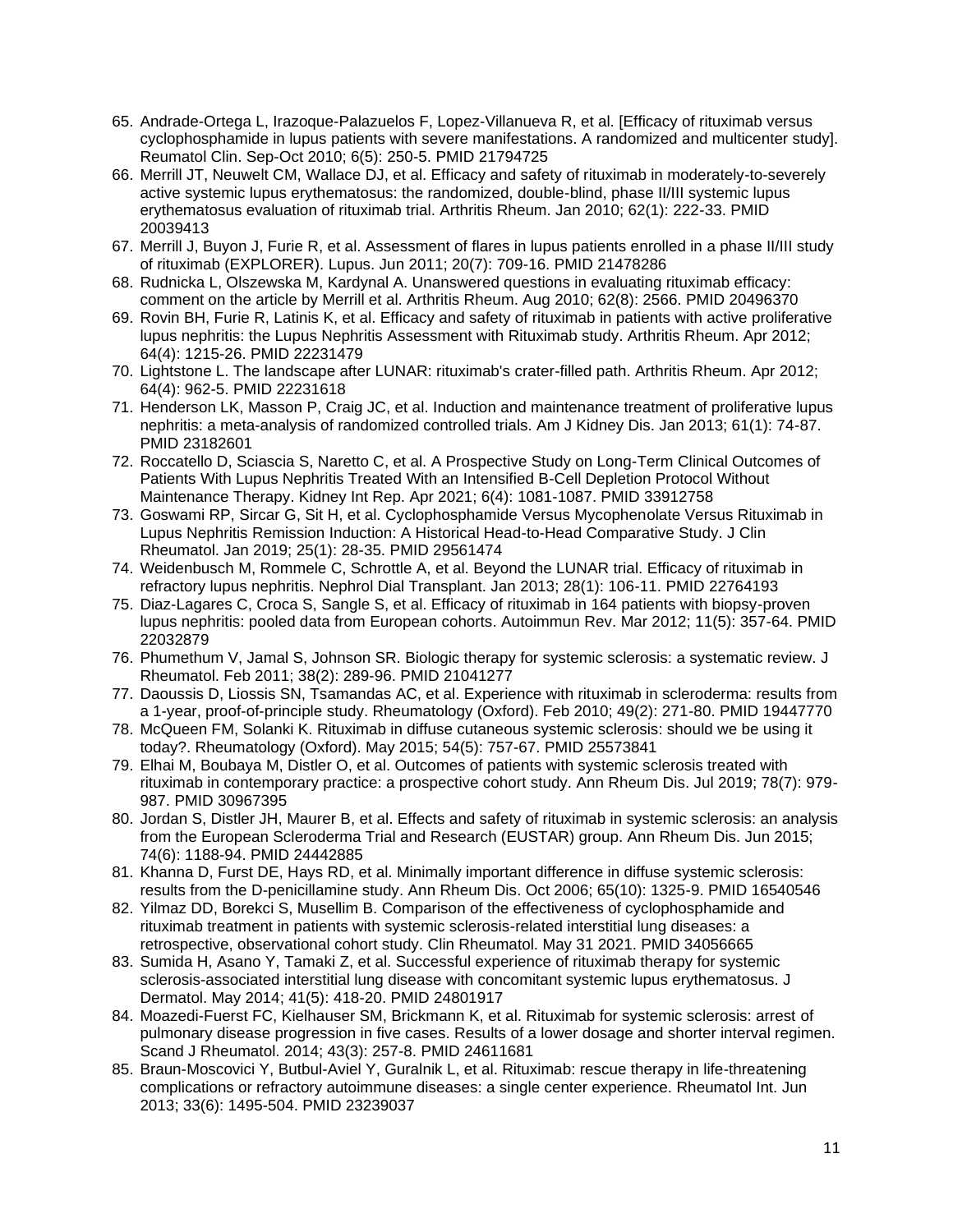- 65. Andrade-Ortega L, Irazoque-Palazuelos F, Lopez-Villanueva R, et al. [Efficacy of rituximab versus cyclophosphamide in lupus patients with severe manifestations. A randomized and multicenter study]. Reumatol Clin. Sep-Oct 2010; 6(5): 250-5. PMID 21794725
- 66. Merrill JT, Neuwelt CM, Wallace DJ, et al. Efficacy and safety of rituximab in moderately-to-severely active systemic lupus erythematosus: the randomized, double-blind, phase II/III systemic lupus erythematosus evaluation of rituximab trial. Arthritis Rheum. Jan 2010; 62(1): 222-33. PMID 20039413
- 67. Merrill J, Buyon J, Furie R, et al. Assessment of flares in lupus patients enrolled in a phase II/III study of rituximab (EXPLORER). Lupus. Jun 2011; 20(7): 709-16. PMID 21478286
- 68. Rudnicka L, Olszewska M, Kardynal A. Unanswered questions in evaluating rituximab efficacy: comment on the article by Merrill et al. Arthritis Rheum. Aug 2010; 62(8): 2566. PMID 20496370
- 69. Rovin BH, Furie R, Latinis K, et al. Efficacy and safety of rituximab in patients with active proliferative lupus nephritis: the Lupus Nephritis Assessment with Rituximab study. Arthritis Rheum. Apr 2012; 64(4): 1215-26. PMID 22231479
- 70. Lightstone L. The landscape after LUNAR: rituximab's crater-filled path. Arthritis Rheum. Apr 2012; 64(4): 962-5. PMID 22231618
- 71. Henderson LK, Masson P, Craig JC, et al. Induction and maintenance treatment of proliferative lupus nephritis: a meta-analysis of randomized controlled trials. Am J Kidney Dis. Jan 2013; 61(1): 74-87. PMID 23182601
- 72. Roccatello D, Sciascia S, Naretto C, et al. A Prospective Study on Long-Term Clinical Outcomes of Patients With Lupus Nephritis Treated With an Intensified B-Cell Depletion Protocol Without Maintenance Therapy. Kidney Int Rep. Apr 2021; 6(4): 1081-1087. PMID 33912758
- 73. Goswami RP, Sircar G, Sit H, et al. Cyclophosphamide Versus Mycophenolate Versus Rituximab in Lupus Nephritis Remission Induction: A Historical Head-to-Head Comparative Study. J Clin Rheumatol. Jan 2019; 25(1): 28-35. PMID 29561474
- 74. Weidenbusch M, Rommele C, Schrottle A, et al. Beyond the LUNAR trial. Efficacy of rituximab in refractory lupus nephritis. Nephrol Dial Transplant. Jan 2013; 28(1): 106-11. PMID 22764193
- 75. Diaz-Lagares C, Croca S, Sangle S, et al. Efficacy of rituximab in 164 patients with biopsy-proven lupus nephritis: pooled data from European cohorts. Autoimmun Rev. Mar 2012; 11(5): 357-64. PMID 22032879
- 76. Phumethum V, Jamal S, Johnson SR. Biologic therapy for systemic sclerosis: a systematic review. J Rheumatol. Feb 2011; 38(2): 289-96. PMID 21041277
- 77. Daoussis D, Liossis SN, Tsamandas AC, et al. Experience with rituximab in scleroderma: results from a 1-year, proof-of-principle study. Rheumatology (Oxford). Feb 2010; 49(2): 271-80. PMID 19447770
- 78. McQueen FM, Solanki K. Rituximab in diffuse cutaneous systemic sclerosis: should we be using it today?. Rheumatology (Oxford). May 2015; 54(5): 757-67. PMID 25573841
- 79. Elhai M, Boubaya M, Distler O, et al. Outcomes of patients with systemic sclerosis treated with rituximab in contemporary practice: a prospective cohort study. Ann Rheum Dis. Jul 2019; 78(7): 979- 987. PMID 30967395
- 80. Jordan S, Distler JH, Maurer B, et al. Effects and safety of rituximab in systemic sclerosis: an analysis from the European Scleroderma Trial and Research (EUSTAR) group. Ann Rheum Dis. Jun 2015; 74(6): 1188-94. PMID 24442885
- 81. Khanna D, Furst DE, Hays RD, et al. Minimally important difference in diffuse systemic sclerosis: results from the D-penicillamine study. Ann Rheum Dis. Oct 2006; 65(10): 1325-9. PMID 16540546
- 82. Yilmaz DD, Borekci S, Musellim B. Comparison of the effectiveness of cyclophosphamide and rituximab treatment in patients with systemic sclerosis-related interstitial lung diseases: a retrospective, observational cohort study. Clin Rheumatol. May 31 2021. PMID 34056665
- 83. Sumida H, Asano Y, Tamaki Z, et al. Successful experience of rituximab therapy for systemic sclerosis-associated interstitial lung disease with concomitant systemic lupus erythematosus. J Dermatol. May 2014; 41(5): 418-20. PMID 24801917
- 84. Moazedi-Fuerst FC, Kielhauser SM, Brickmann K, et al. Rituximab for systemic sclerosis: arrest of pulmonary disease progression in five cases. Results of a lower dosage and shorter interval regimen. Scand J Rheumatol. 2014; 43(3): 257-8. PMID 24611681
- 85. Braun-Moscovici Y, Butbul-Aviel Y, Guralnik L, et al. Rituximab: rescue therapy in life-threatening complications or refractory autoimmune diseases: a single center experience. Rheumatol Int. Jun 2013; 33(6): 1495-504. PMID 23239037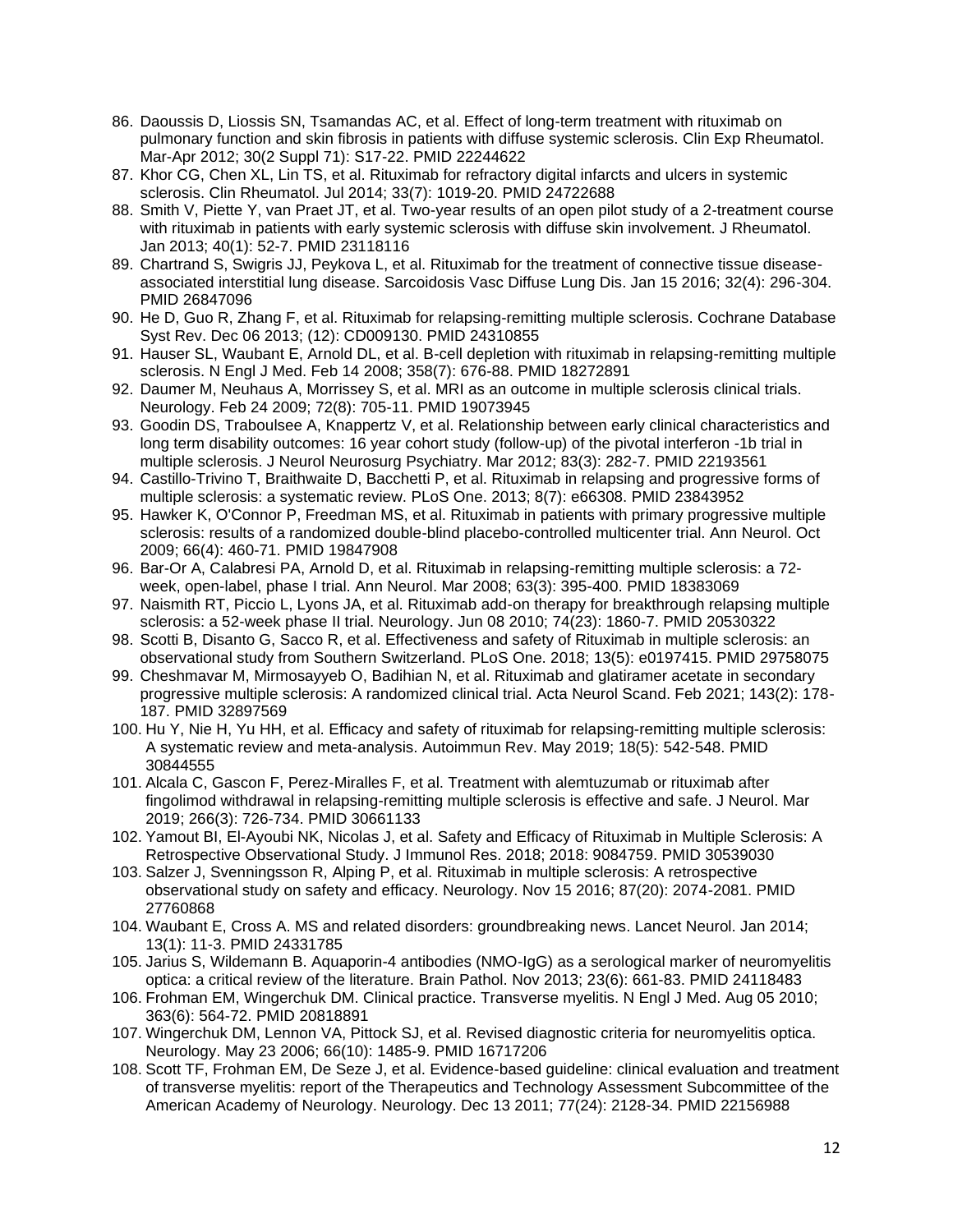- 86. Daoussis D, Liossis SN, Tsamandas AC, et al. Effect of long-term treatment with rituximab on pulmonary function and skin fibrosis in patients with diffuse systemic sclerosis. Clin Exp Rheumatol. Mar-Apr 2012; 30(2 Suppl 71): S17-22. PMID 22244622
- 87. Khor CG, Chen XL, Lin TS, et al. Rituximab for refractory digital infarcts and ulcers in systemic sclerosis. Clin Rheumatol. Jul 2014; 33(7): 1019-20. PMID 24722688
- 88. Smith V, Piette Y, van Praet JT, et al. Two-year results of an open pilot study of a 2-treatment course with rituximab in patients with early systemic sclerosis with diffuse skin involvement. J Rheumatol. Jan 2013; 40(1): 52-7. PMID 23118116
- 89. Chartrand S, Swigris JJ, Peykova L, et al. Rituximab for the treatment of connective tissue diseaseassociated interstitial lung disease. Sarcoidosis Vasc Diffuse Lung Dis. Jan 15 2016; 32(4): 296-304. PMID 26847096
- 90. He D, Guo R, Zhang F, et al. Rituximab for relapsing-remitting multiple sclerosis. Cochrane Database Syst Rev. Dec 06 2013; (12): CD009130. PMID 24310855
- 91. Hauser SL, Waubant E, Arnold DL, et al. B-cell depletion with rituximab in relapsing-remitting multiple sclerosis. N Engl J Med. Feb 14 2008; 358(7): 676-88. PMID 18272891
- 92. Daumer M, Neuhaus A, Morrissey S, et al. MRI as an outcome in multiple sclerosis clinical trials. Neurology. Feb 24 2009; 72(8): 705-11. PMID 19073945
- 93. Goodin DS, Traboulsee A, Knappertz V, et al. Relationship between early clinical characteristics and long term disability outcomes: 16 year cohort study (follow-up) of the pivotal interferon -1b trial in multiple sclerosis. J Neurol Neurosurg Psychiatry. Mar 2012; 83(3): 282-7. PMID 22193561
- 94. Castillo-Trivino T, Braithwaite D, Bacchetti P, et al. Rituximab in relapsing and progressive forms of multiple sclerosis: a systematic review. PLoS One. 2013; 8(7): e66308. PMID 23843952
- 95. Hawker K, O'Connor P, Freedman MS, et al. Rituximab in patients with primary progressive multiple sclerosis: results of a randomized double-blind placebo-controlled multicenter trial. Ann Neurol. Oct 2009; 66(4): 460-71. PMID 19847908
- 96. Bar-Or A, Calabresi PA, Arnold D, et al. Rituximab in relapsing-remitting multiple sclerosis: a 72 week, open-label, phase I trial. Ann Neurol. Mar 2008; 63(3): 395-400. PMID 18383069
- 97. Naismith RT, Piccio L, Lyons JA, et al. Rituximab add-on therapy for breakthrough relapsing multiple sclerosis: a 52-week phase II trial. Neurology. Jun 08 2010; 74(23): 1860-7. PMID 20530322
- 98. Scotti B, Disanto G, Sacco R, et al. Effectiveness and safety of Rituximab in multiple sclerosis: an observational study from Southern Switzerland. PLoS One. 2018; 13(5): e0197415. PMID 29758075
- 99. Cheshmavar M, Mirmosayyeb O, Badihian N, et al. Rituximab and glatiramer acetate in secondary progressive multiple sclerosis: A randomized clinical trial. Acta Neurol Scand. Feb 2021; 143(2): 178- 187. PMID 32897569
- 100. Hu Y, Nie H, Yu HH, et al. Efficacy and safety of rituximab for relapsing-remitting multiple sclerosis: A systematic review and meta-analysis. Autoimmun Rev. May 2019; 18(5): 542-548. PMID 30844555
- 101. Alcala C, Gascon F, Perez-Miralles F, et al. Treatment with alemtuzumab or rituximab after fingolimod withdrawal in relapsing-remitting multiple sclerosis is effective and safe. J Neurol. Mar 2019; 266(3): 726-734. PMID 30661133
- 102. Yamout BI, El-Ayoubi NK, Nicolas J, et al. Safety and Efficacy of Rituximab in Multiple Sclerosis: A Retrospective Observational Study. J Immunol Res. 2018; 2018: 9084759. PMID 30539030
- 103. Salzer J, Svenningsson R, Alping P, et al. Rituximab in multiple sclerosis: A retrospective observational study on safety and efficacy. Neurology. Nov 15 2016; 87(20): 2074-2081. PMID 27760868
- 104. Waubant E, Cross A. MS and related disorders: groundbreaking news. Lancet Neurol. Jan 2014; 13(1): 11-3. PMID 24331785
- 105. Jarius S, Wildemann B. Aquaporin-4 antibodies (NMO-IgG) as a serological marker of neuromyelitis optica: a critical review of the literature. Brain Pathol. Nov 2013; 23(6): 661-83. PMID 24118483
- 106. Frohman EM, Wingerchuk DM. Clinical practice. Transverse myelitis. N Engl J Med. Aug 05 2010; 363(6): 564-72. PMID 20818891
- 107. Wingerchuk DM, Lennon VA, Pittock SJ, et al. Revised diagnostic criteria for neuromyelitis optica. Neurology. May 23 2006; 66(10): 1485-9. PMID 16717206
- 108. Scott TF, Frohman EM, De Seze J, et al. Evidence-based guideline: clinical evaluation and treatment of transverse myelitis: report of the Therapeutics and Technology Assessment Subcommittee of the American Academy of Neurology. Neurology. Dec 13 2011; 77(24): 2128-34. PMID 22156988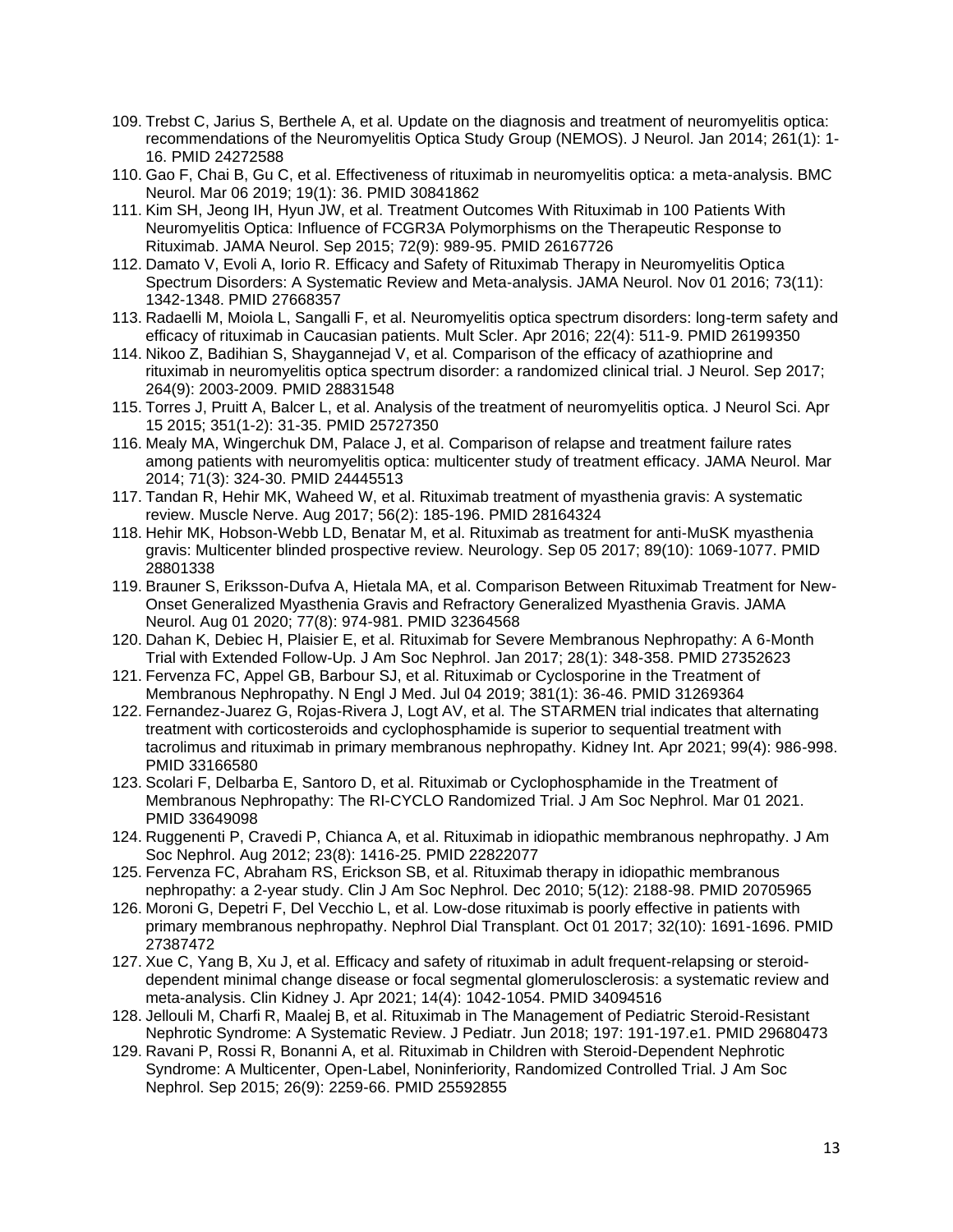- 109. Trebst C, Jarius S, Berthele A, et al. Update on the diagnosis and treatment of neuromyelitis optica: recommendations of the Neuromyelitis Optica Study Group (NEMOS). J Neurol. Jan 2014; 261(1): 1- 16. PMID 24272588
- 110. Gao F, Chai B, Gu C, et al. Effectiveness of rituximab in neuromyelitis optica: a meta-analysis. BMC Neurol. Mar 06 2019; 19(1): 36. PMID 30841862
- 111. Kim SH, Jeong IH, Hyun JW, et al. Treatment Outcomes With Rituximab in 100 Patients With Neuromyelitis Optica: Influence of FCGR3A Polymorphisms on the Therapeutic Response to Rituximab. JAMA Neurol. Sep 2015; 72(9): 989-95. PMID 26167726
- 112. Damato V, Evoli A, Iorio R. Efficacy and Safety of Rituximab Therapy in Neuromyelitis Optica Spectrum Disorders: A Systematic Review and Meta-analysis. JAMA Neurol. Nov 01 2016; 73(11): 1342-1348. PMID 27668357
- 113. Radaelli M, Moiola L, Sangalli F, et al. Neuromyelitis optica spectrum disorders: long-term safety and efficacy of rituximab in Caucasian patients. Mult Scler. Apr 2016; 22(4): 511-9. PMID 26199350
- 114. Nikoo Z, Badihian S, Shaygannejad V, et al. Comparison of the efficacy of azathioprine and rituximab in neuromyelitis optica spectrum disorder: a randomized clinical trial. J Neurol. Sep 2017; 264(9): 2003-2009. PMID 28831548
- 115. Torres J, Pruitt A, Balcer L, et al. Analysis of the treatment of neuromyelitis optica. J Neurol Sci. Apr 15 2015; 351(1-2): 31-35. PMID 25727350
- 116. Mealy MA, Wingerchuk DM, Palace J, et al. Comparison of relapse and treatment failure rates among patients with neuromyelitis optica: multicenter study of treatment efficacy. JAMA Neurol. Mar 2014; 71(3): 324-30. PMID 24445513
- 117. Tandan R, Hehir MK, Waheed W, et al. Rituximab treatment of myasthenia gravis: A systematic review. Muscle Nerve. Aug 2017; 56(2): 185-196. PMID 28164324
- 118. Hehir MK, Hobson-Webb LD, Benatar M, et al. Rituximab as treatment for anti-MuSK myasthenia gravis: Multicenter blinded prospective review. Neurology. Sep 05 2017; 89(10): 1069-1077. PMID 28801338
- 119. Brauner S, Eriksson-Dufva A, Hietala MA, et al. Comparison Between Rituximab Treatment for New-Onset Generalized Myasthenia Gravis and Refractory Generalized Myasthenia Gravis. JAMA Neurol. Aug 01 2020; 77(8): 974-981. PMID 32364568
- 120. Dahan K, Debiec H, Plaisier E, et al. Rituximab for Severe Membranous Nephropathy: A 6-Month Trial with Extended Follow-Up. J Am Soc Nephrol. Jan 2017; 28(1): 348-358. PMID 27352623
- 121. Fervenza FC, Appel GB, Barbour SJ, et al. Rituximab or Cyclosporine in the Treatment of Membranous Nephropathy. N Engl J Med. Jul 04 2019; 381(1): 36-46. PMID 31269364
- 122. Fernandez-Juarez G, Rojas-Rivera J, Logt AV, et al. The STARMEN trial indicates that alternating treatment with corticosteroids and cyclophosphamide is superior to sequential treatment with tacrolimus and rituximab in primary membranous nephropathy. Kidney Int. Apr 2021; 99(4): 986-998. PMID 33166580
- 123. Scolari F, Delbarba E, Santoro D, et al. Rituximab or Cyclophosphamide in the Treatment of Membranous Nephropathy: The RI-CYCLO Randomized Trial. J Am Soc Nephrol. Mar 01 2021. PMID 33649098
- 124. Ruggenenti P, Cravedi P, Chianca A, et al. Rituximab in idiopathic membranous nephropathy. J Am Soc Nephrol. Aug 2012; 23(8): 1416-25. PMID 22822077
- 125. Fervenza FC, Abraham RS, Erickson SB, et al. Rituximab therapy in idiopathic membranous nephropathy: a 2-year study. Clin J Am Soc Nephrol. Dec 2010; 5(12): 2188-98. PMID 20705965
- 126. Moroni G, Depetri F, Del Vecchio L, et al. Low-dose rituximab is poorly effective in patients with primary membranous nephropathy. Nephrol Dial Transplant. Oct 01 2017; 32(10): 1691-1696. PMID 27387472
- 127. Xue C, Yang B, Xu J, et al. Efficacy and safety of rituximab in adult frequent-relapsing or steroiddependent minimal change disease or focal segmental glomerulosclerosis: a systematic review and meta-analysis. Clin Kidney J. Apr 2021; 14(4): 1042-1054. PMID 34094516
- 128. Jellouli M, Charfi R, Maalej B, et al. Rituximab in The Management of Pediatric Steroid-Resistant Nephrotic Syndrome: A Systematic Review. J Pediatr. Jun 2018; 197: 191-197.e1. PMID 29680473
- 129. Ravani P, Rossi R, Bonanni A, et al. Rituximab in Children with Steroid-Dependent Nephrotic Syndrome: A Multicenter, Open-Label, Noninferiority, Randomized Controlled Trial. J Am Soc Nephrol. Sep 2015; 26(9): 2259-66. PMID 25592855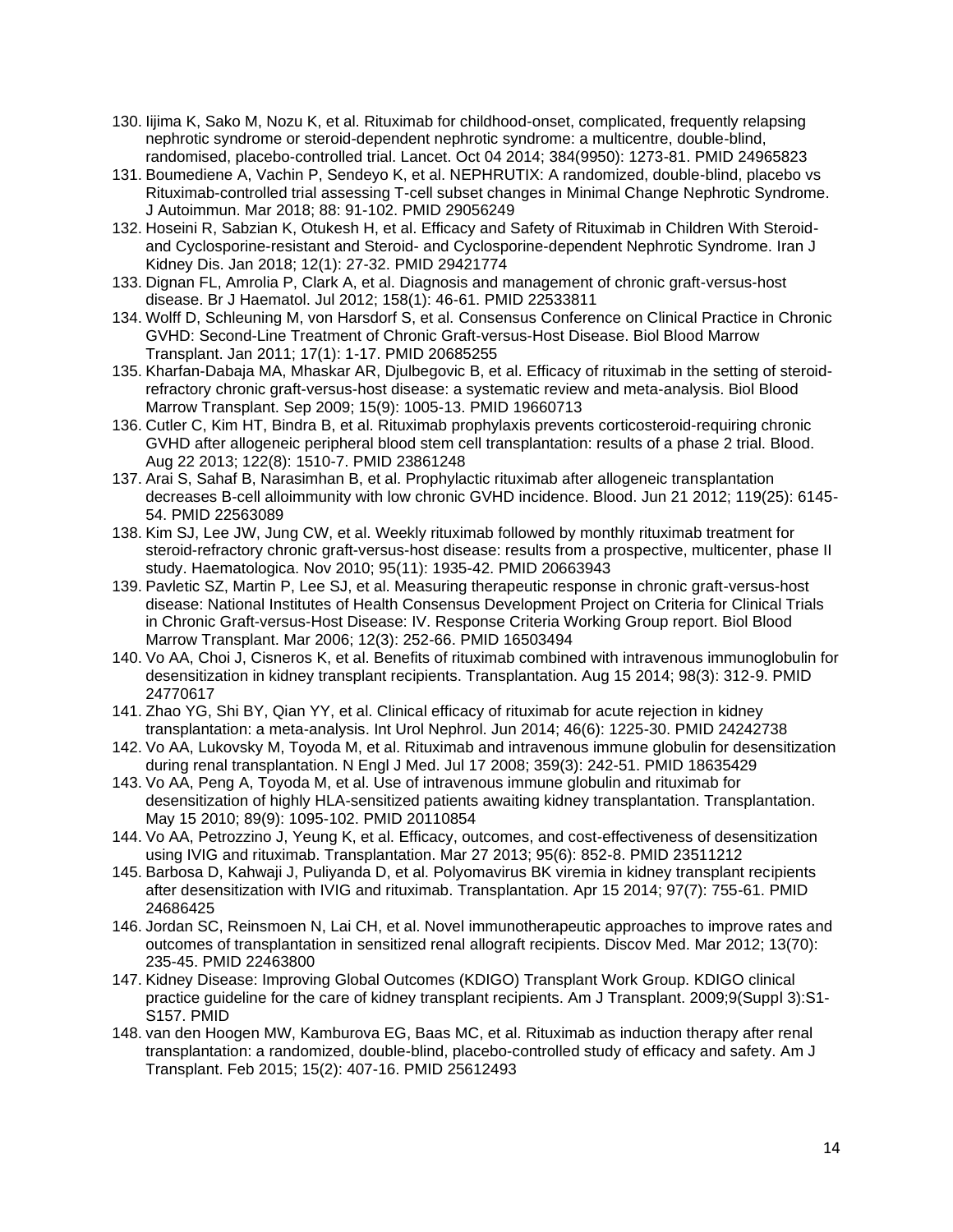- 130. Iijima K, Sako M, Nozu K, et al. Rituximab for childhood-onset, complicated, frequently relapsing nephrotic syndrome or steroid-dependent nephrotic syndrome: a multicentre, double-blind, randomised, placebo-controlled trial. Lancet. Oct 04 2014; 384(9950): 1273-81. PMID 24965823
- 131. Boumediene A, Vachin P, Sendeyo K, et al. NEPHRUTIX: A randomized, double-blind, placebo vs Rituximab-controlled trial assessing T-cell subset changes in Minimal Change Nephrotic Syndrome. J Autoimmun. Mar 2018; 88: 91-102. PMID 29056249
- 132. Hoseini R, Sabzian K, Otukesh H, et al. Efficacy and Safety of Rituximab in Children With Steroidand Cyclosporine-resistant and Steroid- and Cyclosporine-dependent Nephrotic Syndrome. Iran J Kidney Dis. Jan 2018; 12(1): 27-32. PMID 29421774
- 133. Dignan FL, Amrolia P, Clark A, et al. Diagnosis and management of chronic graft-versus-host disease. Br J Haematol. Jul 2012; 158(1): 46-61. PMID 22533811
- 134. Wolff D, Schleuning M, von Harsdorf S, et al. Consensus Conference on Clinical Practice in Chronic GVHD: Second-Line Treatment of Chronic Graft-versus-Host Disease. Biol Blood Marrow Transplant. Jan 2011; 17(1): 1-17. PMID 20685255
- 135. Kharfan-Dabaja MA, Mhaskar AR, Djulbegovic B, et al. Efficacy of rituximab in the setting of steroidrefractory chronic graft-versus-host disease: a systematic review and meta-analysis. Biol Blood Marrow Transplant. Sep 2009; 15(9): 1005-13. PMID 19660713
- 136. Cutler C, Kim HT, Bindra B, et al. Rituximab prophylaxis prevents corticosteroid-requiring chronic GVHD after allogeneic peripheral blood stem cell transplantation: results of a phase 2 trial. Blood. Aug 22 2013; 122(8): 1510-7. PMID 23861248
- 137. Arai S, Sahaf B, Narasimhan B, et al. Prophylactic rituximab after allogeneic transplantation decreases B-cell alloimmunity with low chronic GVHD incidence. Blood. Jun 21 2012; 119(25): 6145- 54. PMID 22563089
- 138. Kim SJ, Lee JW, Jung CW, et al. Weekly rituximab followed by monthly rituximab treatment for steroid-refractory chronic graft-versus-host disease: results from a prospective, multicenter, phase II study. Haematologica. Nov 2010; 95(11): 1935-42. PMID 20663943
- 139. Pavletic SZ, Martin P, Lee SJ, et al. Measuring therapeutic response in chronic graft-versus-host disease: National Institutes of Health Consensus Development Project on Criteria for Clinical Trials in Chronic Graft-versus-Host Disease: IV. Response Criteria Working Group report. Biol Blood Marrow Transplant. Mar 2006; 12(3): 252-66. PMID 16503494
- 140. Vo AA, Choi J, Cisneros K, et al. Benefits of rituximab combined with intravenous immunoglobulin for desensitization in kidney transplant recipients. Transplantation. Aug 15 2014; 98(3): 312-9. PMID 24770617
- 141. Zhao YG, Shi BY, Qian YY, et al. Clinical efficacy of rituximab for acute rejection in kidney transplantation: a meta-analysis. Int Urol Nephrol. Jun 2014; 46(6): 1225-30. PMID 24242738
- 142. Vo AA, Lukovsky M, Toyoda M, et al. Rituximab and intravenous immune globulin for desensitization during renal transplantation. N Engl J Med. Jul 17 2008; 359(3): 242-51. PMID 18635429
- 143. Vo AA, Peng A, Toyoda M, et al. Use of intravenous immune globulin and rituximab for desensitization of highly HLA-sensitized patients awaiting kidney transplantation. Transplantation. May 15 2010; 89(9): 1095-102. PMID 20110854
- 144. Vo AA, Petrozzino J, Yeung K, et al. Efficacy, outcomes, and cost-effectiveness of desensitization using IVIG and rituximab. Transplantation. Mar 27 2013; 95(6): 852-8. PMID 23511212
- 145. Barbosa D, Kahwaji J, Puliyanda D, et al. Polyomavirus BK viremia in kidney transplant recipients after desensitization with IVIG and rituximab. Transplantation. Apr 15 2014; 97(7): 755-61. PMID 24686425
- 146. Jordan SC, Reinsmoen N, Lai CH, et al. Novel immunotherapeutic approaches to improve rates and outcomes of transplantation in sensitized renal allograft recipients. Discov Med. Mar 2012; 13(70): 235-45. PMID 22463800
- 147. Kidney Disease: Improving Global Outcomes (KDIGO) Transplant Work Group. KDIGO clinical practice guideline for the care of kidney transplant recipients. Am J Transplant. 2009;9(Suppl 3):S1- S157. PMID
- 148. van den Hoogen MW, Kamburova EG, Baas MC, et al. Rituximab as induction therapy after renal transplantation: a randomized, double-blind, placebo-controlled study of efficacy and safety. Am J Transplant. Feb 2015; 15(2): 407-16. PMID 25612493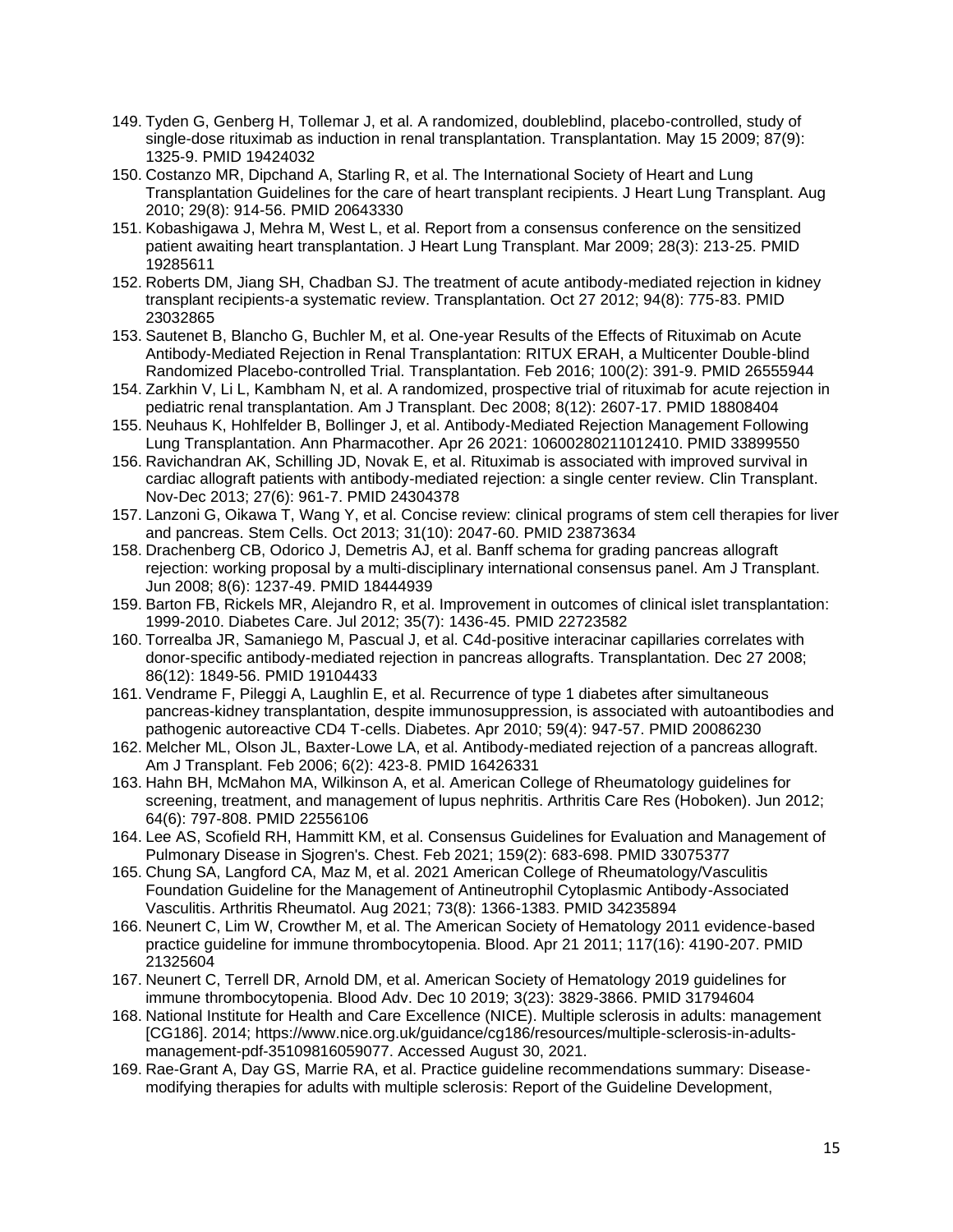- 149. Tyden G, Genberg H, Tollemar J, et al. A randomized, doubleblind, placebo-controlled, study of single-dose rituximab as induction in renal transplantation. Transplantation. May 15 2009; 87(9): 1325-9. PMID 19424032
- 150. Costanzo MR, Dipchand A, Starling R, et al. The International Society of Heart and Lung Transplantation Guidelines for the care of heart transplant recipients. J Heart Lung Transplant. Aug 2010; 29(8): 914-56. PMID 20643330
- 151. Kobashigawa J, Mehra M, West L, et al. Report from a consensus conference on the sensitized patient awaiting heart transplantation. J Heart Lung Transplant. Mar 2009; 28(3): 213-25. PMID 19285611
- 152. Roberts DM, Jiang SH, Chadban SJ. The treatment of acute antibody-mediated rejection in kidney transplant recipients-a systematic review. Transplantation. Oct 27 2012; 94(8): 775-83. PMID 23032865
- 153. Sautenet B, Blancho G, Buchler M, et al. One-year Results of the Effects of Rituximab on Acute Antibody-Mediated Rejection in Renal Transplantation: RITUX ERAH, a Multicenter Double-blind Randomized Placebo-controlled Trial. Transplantation. Feb 2016; 100(2): 391-9. PMID 26555944
- 154. Zarkhin V, Li L, Kambham N, et al. A randomized, prospective trial of rituximab for acute rejection in pediatric renal transplantation. Am J Transplant. Dec 2008; 8(12): 2607-17. PMID 18808404
- 155. Neuhaus K, Hohlfelder B, Bollinger J, et al. Antibody-Mediated Rejection Management Following Lung Transplantation. Ann Pharmacother. Apr 26 2021: 10600280211012410. PMID 33899550
- 156. Ravichandran AK, Schilling JD, Novak E, et al. Rituximab is associated with improved survival in cardiac allograft patients with antibody-mediated rejection: a single center review. Clin Transplant. Nov-Dec 2013; 27(6): 961-7. PMID 24304378
- 157. Lanzoni G, Oikawa T, Wang Y, et al. Concise review: clinical programs of stem cell therapies for liver and pancreas. Stem Cells. Oct 2013; 31(10): 2047-60. PMID 23873634
- 158. Drachenberg CB, Odorico J, Demetris AJ, et al. Banff schema for grading pancreas allograft rejection: working proposal by a multi-disciplinary international consensus panel. Am J Transplant. Jun 2008; 8(6): 1237-49. PMID 18444939
- 159. Barton FB, Rickels MR, Alejandro R, et al. Improvement in outcomes of clinical islet transplantation: 1999-2010. Diabetes Care. Jul 2012; 35(7): 1436-45. PMID 22723582
- 160. Torrealba JR, Samaniego M, Pascual J, et al. C4d-positive interacinar capillaries correlates with donor-specific antibody-mediated rejection in pancreas allografts. Transplantation. Dec 27 2008; 86(12): 1849-56. PMID 19104433
- 161. Vendrame F, Pileggi A, Laughlin E, et al. Recurrence of type 1 diabetes after simultaneous pancreas-kidney transplantation, despite immunosuppression, is associated with autoantibodies and pathogenic autoreactive CD4 T-cells. Diabetes. Apr 2010; 59(4): 947-57. PMID 20086230
- 162. Melcher ML, Olson JL, Baxter-Lowe LA, et al. Antibody-mediated rejection of a pancreas allograft. Am J Transplant. Feb 2006; 6(2): 423-8. PMID 16426331
- 163. Hahn BH, McMahon MA, Wilkinson A, et al. American College of Rheumatology guidelines for screening, treatment, and management of lupus nephritis. Arthritis Care Res (Hoboken). Jun 2012; 64(6): 797-808. PMID 22556106
- 164. Lee AS, Scofield RH, Hammitt KM, et al. Consensus Guidelines for Evaluation and Management of Pulmonary Disease in Sjogren's. Chest. Feb 2021; 159(2): 683-698. PMID 33075377
- 165. Chung SA, Langford CA, Maz M, et al. 2021 American College of Rheumatology/Vasculitis Foundation Guideline for the Management of Antineutrophil Cytoplasmic Antibody-Associated Vasculitis. Arthritis Rheumatol. Aug 2021; 73(8): 1366-1383. PMID 34235894
- 166. Neunert C, Lim W, Crowther M, et al. The American Society of Hematology 2011 evidence-based practice guideline for immune thrombocytopenia. Blood. Apr 21 2011; 117(16): 4190-207. PMID 21325604
- 167. Neunert C, Terrell DR, Arnold DM, et al. American Society of Hematology 2019 guidelines for immune thrombocytopenia. Blood Adv. Dec 10 2019; 3(23): 3829-3866. PMID 31794604
- 168. National Institute for Health and Care Excellence (NICE). Multiple sclerosis in adults: management [CG186]. 2014; https://www.nice.org.uk/guidance/cg186/resources/multiple-sclerosis-in-adultsmanagement-pdf-35109816059077. Accessed August 30, 2021.
- 169. Rae-Grant A, Day GS, Marrie RA, et al. Practice guideline recommendations summary: Diseasemodifying therapies for adults with multiple sclerosis: Report of the Guideline Development,